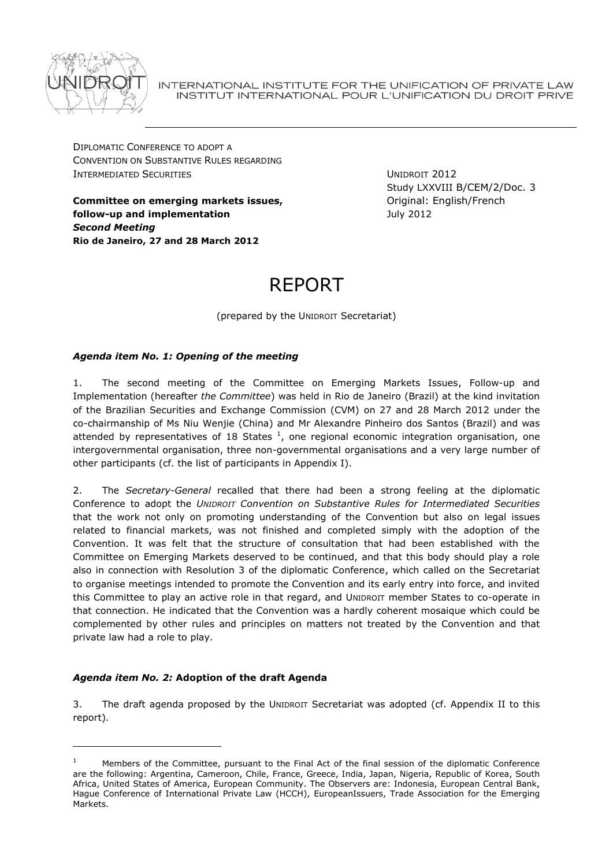

INTERNATIONAL INSTITUTE FOR THE UNIFICATION OF PRIVATE LAW INSTITUT INTERNATIONAL POUR L'UNIFICATION DU DROIT PRIVE

DIPLOMATIC CONFERENCE TO ADOPT A CONVENTION ON SUBSTANTIVE RULES REGARDING INTERMEDIATED SECURITIES

**Committee on emerging markets issues, follow-up and implementation** *Second Meeting* **Rio de Janeiro, 27 and 28 March 2012**

UNIDROIT 2012 Study LXXVIII B/CEM/2/Doc. 3 Original: English/French July 2012

# REPORT

(prepared by the UNIDROIT Secretariat)

# *Agenda item No. 1: Opening of the meeting*

1. The second meeting of the Committee on Emerging Markets Issues, Follow-up and Implementation (hereafter *the Committee*) was held in Rio de Janeiro (Brazil) at the kind invitation of the Brazilian Securities and Exchange Commission (CVM) on 27 and 28 March 2012 under the co-chairmanship of Ms Niu Wenjie (China) and Mr Alexandre Pinheiro dos Santos (Brazil) and was attended by representatives of 18 States <sup>1</sup>, one regional economic integration organisation, one intergovernmental organisation, three non-governmental organisations and a very large number of other participants (cf. the list of participants in Appendix I).

2. The *Secretary-General* recalled that there had been a strong feeling at the diplomatic Conference to adopt the *UNIDROIT Convention on Substantive Rules for Intermediated Securities* that the work not only on promoting understanding of the Convention but also on legal issues related to financial markets, was not finished and completed simply with the adoption of the Convention. It was felt that the structure of consultation that had been established with the Committee on Emerging Markets deserved to be continued, and that this body should play a role also in connection with Resolution 3 of the diplomatic Conference, which called on the Secretariat to organise meetings intended to promote the Convention and its early entry into force, and invited this Committee to play an active role in that regard, and UNIDROIT member States to co-operate in that connection. He indicated that the Convention was a hardly coherent mosaique which could be complemented by other rules and principles on matters not treated by the Convention and that private law had a role to play.

# *Agenda item No. 2:* **Adoption of the draft Agenda**

3. The draft agenda proposed by the UNIDROIT Secretariat was adopted (cf. Appendix II to this report)*.*

Members of the Committee, pursuant to the Final Act of the final session of the diplomatic Conference are the following: Argentina, Cameroon, Chile, France, Greece, India, Japan, Nigeria, Republic of Korea, South Africa, United States of America, European Community. The Observers are: Indonesia, European Central Bank, Hague Conference of International Private Law (HCCH), EuropeanIssuers, Trade Association for the Emerging Markets.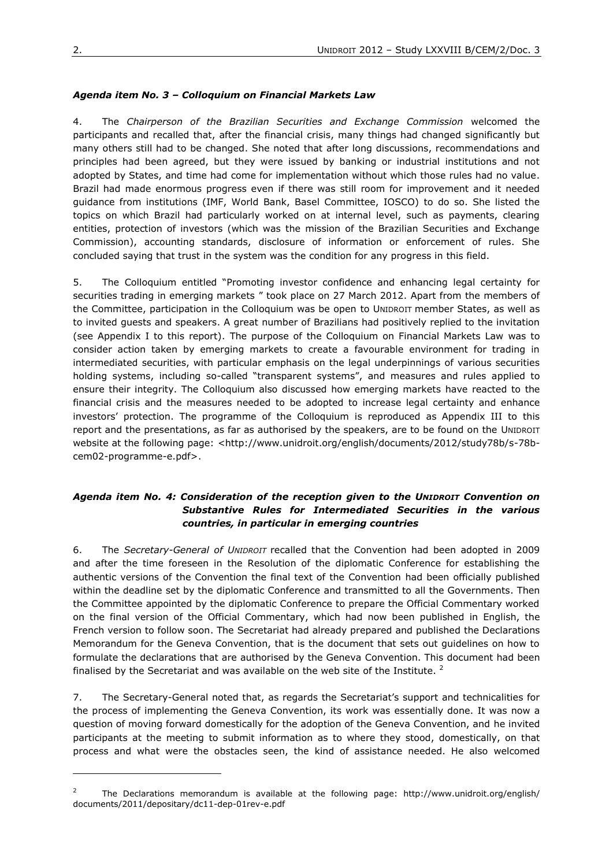# *Agenda item No. 3 – Colloquium on Financial Markets Law*

4. The *Chairperson of the Brazilian Securities and Exchange Commission* welcomed the participants and recalled that, after the financial crisis, many things had changed significantly but many others still had to be changed. She noted that after long discussions, recommendations and principles had been agreed, but they were issued by banking or industrial institutions and not adopted by States, and time had come for implementation without which those rules had no value. Brazil had made enormous progress even if there was still room for improvement and it needed guidance from institutions (IMF, World Bank, Basel Committee, IOSCO) to do so. She listed the topics on which Brazil had particularly worked on at internal level, such as payments, clearing entities, protection of investors (which was the mission of the Brazilian Securities and Exchange Commission), accounting standards, disclosure of information or enforcement of rules. She concluded saying that trust in the system was the condition for any progress in this field.

5. The Colloquium entitled "Promoting investor confidence and enhancing legal certainty for securities trading in emerging markets " took place on 27 March 2012. Apart from the members of the Committee, participation in the Colloquium was be open to UNIDROIT member States, as well as to invited guests and speakers. A great number of Brazilians had positively replied to the invitation (see Appendix I to this report). The purpose of the Colloquium on Financial Markets Law was to consider action taken by emerging markets to create a favourable environment for trading in intermediated securities, with particular emphasis on the legal underpinnings of various securities holding systems, including so-called "transparent systems", and measures and rules applied to ensure their integrity. The Colloquium also discussed how emerging markets have reacted to the financial crisis and the measures needed to be adopted to increase legal certainty and enhance investors' protection. The programme of the Colloquium is reproduced as Appendix III to this report and the presentations, as far as authorised by the speakers, are to be found on the UNIDROIT website at the following page: <http://www.unidroit.org/english/documents/2012/study78b/s-78bcem02-programme-e.pdf>.

# *Agenda item No. 4: Consideration of the reception given to the UNIDROIT Convention on Substantive Rules for Intermediated Securities in the various countries, in particular in emerging countries*

6. The *Secretary-General of UNIDROIT* recalled that the Convention had been adopted in 2009 and after the time foreseen in the Resolution of the diplomatic Conference for establishing the authentic versions of the Convention the final text of the Convention had been officially published within the deadline set by the diplomatic Conference and transmitted to all the Governments. Then the Committee appointed by the diplomatic Conference to prepare the Official Commentary worked on the final version of the Official Commentary, which had now been published in English, the French version to follow soon. The Secretariat had already prepared and published the Declarations Memorandum for the Geneva Convention, that is the document that sets out guidelines on how to formulate the declarations that are authorised by the Geneva Convention. This document had been finalised by the Secretariat and was available on the web site of the Institute.  $^2$ 

7. The Secretary-General noted that, as regards the Secretariat's support and technicalities for the process of implementing the Geneva Convention, its work was essentially done. It was now a question of moving forward domestically for the adoption of the Geneva Convention, and he invited participants at the meeting to submit information as to where they stood, domestically, on that process and what were the obstacles seen, the kind of assistance needed. He also welcomed

1

<sup>2</sup> The Declarations memorandum is available at the following page: http://www.unidroit.org/english/ documents/2011/depositary/dc11-dep-01rev-e.pdf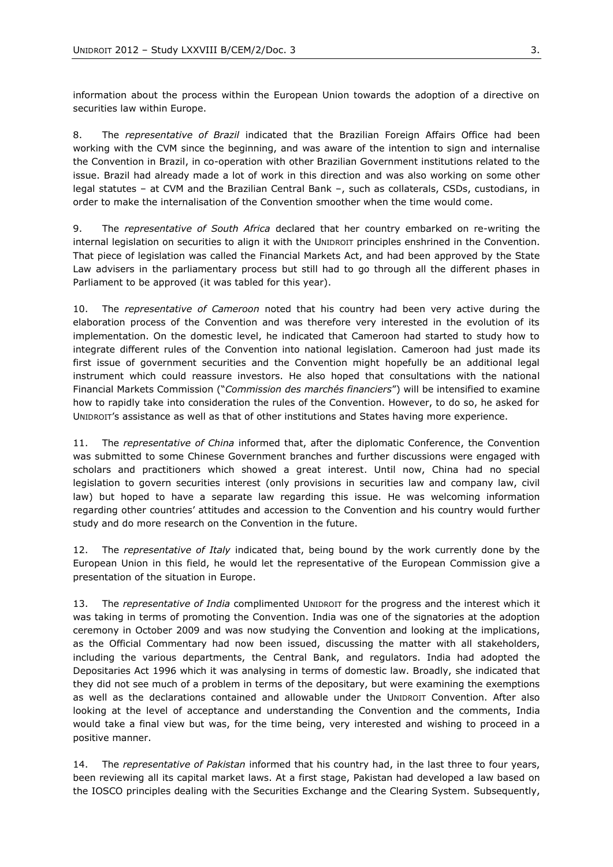information about the process within the European Union towards the adoption of a directive on securities law within Europe.

8. The *representative of Brazil* indicated that the Brazilian Foreign Affairs Office had been working with the CVM since the beginning, and was aware of the intention to sign and internalise the Convention in Brazil, in co-operation with other Brazilian Government institutions related to the issue. Brazil had already made a lot of work in this direction and was also working on some other legal statutes – at CVM and the Brazilian Central Bank –, such as collaterals, CSDs, custodians, in order to make the internalisation of the Convention smoother when the time would come.

9. The *representative of South Africa* declared that her country embarked on re-writing the internal legislation on securities to align it with the UNIDROIT principles enshrined in the Convention. That piece of legislation was called the Financial Markets Act, and had been approved by the State Law advisers in the parliamentary process but still had to go through all the different phases in Parliament to be approved (it was tabled for this year).

10. The *representative of Cameroon* noted that his country had been very active during the elaboration process of the Convention and was therefore very interested in the evolution of its implementation. On the domestic level, he indicated that Cameroon had started to study how to integrate different rules of the Convention into national legislation. Cameroon had just made its first issue of government securities and the Convention might hopefully be an additional legal instrument which could reassure investors. He also hoped that consultations with the national Financial Markets Commission ("*Commission des marchés financiers*") will be intensified to examine how to rapidly take into consideration the rules of the Convention. However, to do so, he asked for UNIDROIT's assistance as well as that of other institutions and States having more experience.

11. The *representative of China* informed that, after the diplomatic Conference, the Convention was submitted to some Chinese Government branches and further discussions were engaged with scholars and practitioners which showed a great interest. Until now, China had no special legislation to govern securities interest (only provisions in securities law and company law, civil law) but hoped to have a separate law regarding this issue. He was welcoming information regarding other countries' attitudes and accession to the Convention and his country would further study and do more research on the Convention in the future.

12. The *representative of Italy* indicated that, being bound by the work currently done by the European Union in this field, he would let the representative of the European Commission give a presentation of the situation in Europe.

13. The *representative of India* complimented UNIDROIT for the progress and the interest which it was taking in terms of promoting the Convention. India was one of the signatories at the adoption ceremony in October 2009 and was now studying the Convention and looking at the implications, as the Official Commentary had now been issued, discussing the matter with all stakeholders, including the various departments, the Central Bank, and regulators. India had adopted the Depositaries Act 1996 which it was analysing in terms of domestic law. Broadly, she indicated that they did not see much of a problem in terms of the depositary, but were examining the exemptions as well as the declarations contained and allowable under the UNIDROIT Convention. After also looking at the level of acceptance and understanding the Convention and the comments, India would take a final view but was, for the time being, very interested and wishing to proceed in a positive manner.

14. The *representative of Pakistan* informed that his country had, in the last three to four years, been reviewing all its capital market laws. At a first stage, Pakistan had developed a law based on the IOSCO principles dealing with the Securities Exchange and the Clearing System. Subsequently,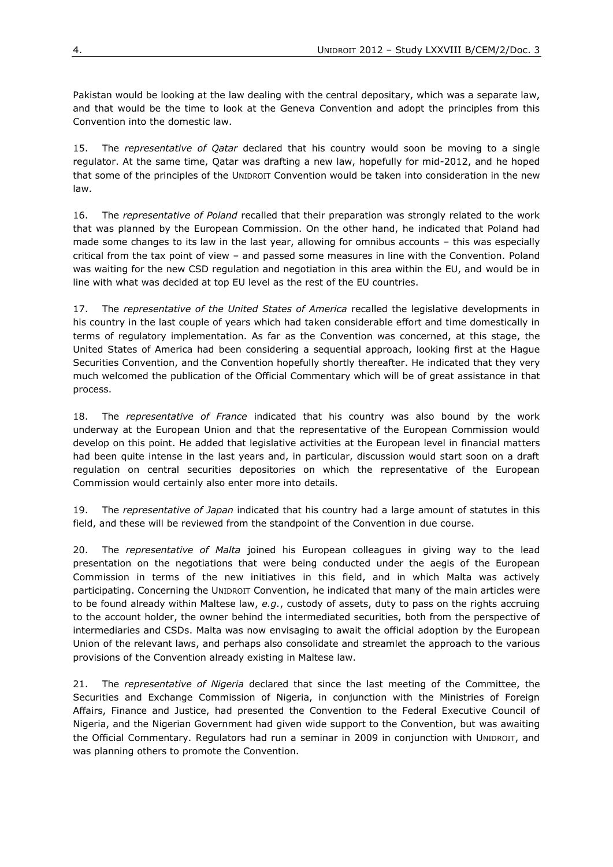Pakistan would be looking at the law dealing with the central depositary, which was a separate law, and that would be the time to look at the Geneva Convention and adopt the principles from this Convention into the domestic law.

15. The *representative of Qatar* declared that his country would soon be moving to a single regulator. At the same time, Qatar was drafting a new law, hopefully for mid-2012, and he hoped that some of the principles of the UNIDROIT Convention would be taken into consideration in the new law.

16. The *representative of Poland* recalled that their preparation was strongly related to the work that was planned by the European Commission. On the other hand, he indicated that Poland had made some changes to its law in the last year, allowing for omnibus accounts – this was especially critical from the tax point of view – and passed some measures in line with the Convention. Poland was waiting for the new CSD regulation and negotiation in this area within the EU, and would be in line with what was decided at top EU level as the rest of the EU countries.

17. The *representative of the United States of America* recalled the legislative developments in his country in the last couple of years which had taken considerable effort and time domestically in terms of regulatory implementation. As far as the Convention was concerned, at this stage, the United States of America had been considering a sequential approach, looking first at the Hague Securities Convention, and the Convention hopefully shortly thereafter. He indicated that they very much welcomed the publication of the Official Commentary which will be of great assistance in that process.

18. The *representative of France* indicated that his country was also bound by the work underway at the European Union and that the representative of the European Commission would develop on this point. He added that legislative activities at the European level in financial matters had been quite intense in the last years and, in particular, discussion would start soon on a draft regulation on central securities depositories on which the representative of the European Commission would certainly also enter more into details.

19. The *representative of Japan* indicated that his country had a large amount of statutes in this field, and these will be reviewed from the standpoint of the Convention in due course.

20. The *representative of Malta* joined his European colleagues in giving way to the lead presentation on the negotiations that were being conducted under the aegis of the European Commission in terms of the new initiatives in this field, and in which Malta was actively participating. Concerning the UNIDROIT Convention, he indicated that many of the main articles were to be found already within Maltese law, *e.g.*, custody of assets, duty to pass on the rights accruing to the account holder, the owner behind the intermediated securities, both from the perspective of intermediaries and CSDs. Malta was now envisaging to await the official adoption by the European Union of the relevant laws, and perhaps also consolidate and streamlet the approach to the various provisions of the Convention already existing in Maltese law.

21. The *representative of Nigeria* declared that since the last meeting of the Committee, the Securities and Exchange Commission of Nigeria, in conjunction with the Ministries of Foreign Affairs, Finance and Justice, had presented the Convention to the Federal Executive Council of Nigeria, and the Nigerian Government had given wide support to the Convention, but was awaiting the Official Commentary. Regulators had run a seminar in 2009 in conjunction with UNIDROIT, and was planning others to promote the Convention.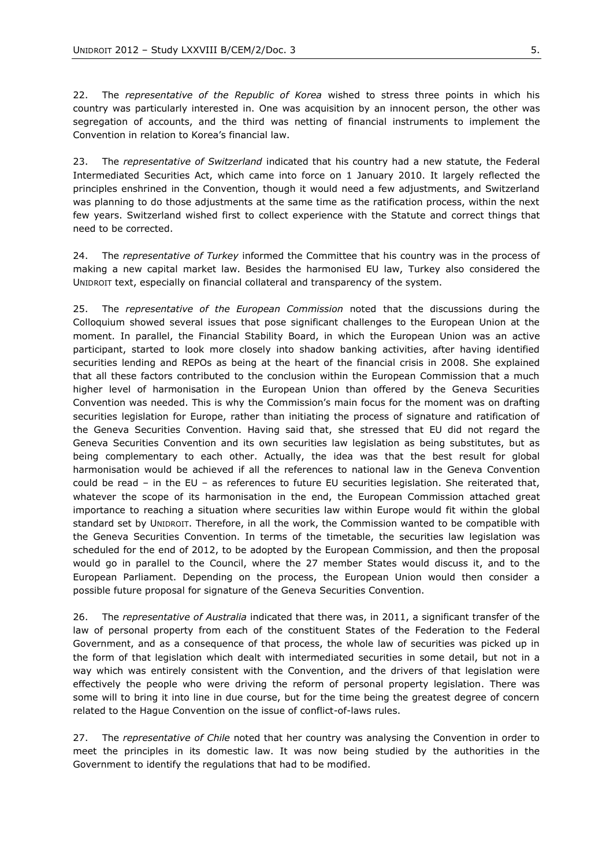22. The *representative of the Republic of Korea* wished to stress three points in which his country was particularly interested in. One was acquisition by an innocent person, the other was segregation of accounts, and the third was netting of financial instruments to implement the Convention in relation to Korea's financial law.

23. The *representative of Switzerland* indicated that his country had a new statute, the Federal Intermediated Securities Act, which came into force on 1 January 2010. It largely reflected the principles enshrined in the Convention, though it would need a few adjustments, and Switzerland was planning to do those adjustments at the same time as the ratification process, within the next few years. Switzerland wished first to collect experience with the Statute and correct things that need to be corrected.

24. The *representative of Turkey* informed the Committee that his country was in the process of making a new capital market law. Besides the harmonised EU law, Turkey also considered the UNIDROIT text, especially on financial collateral and transparency of the system.

25. The *representative of the European Commission* noted that the discussions during the Colloquium showed several issues that pose significant challenges to the European Union at the moment. In parallel, the Financial Stability Board, in which the European Union was an active participant, started to look more closely into shadow banking activities, after having identified securities lending and REPOs as being at the heart of the financial crisis in 2008. She explained that all these factors contributed to the conclusion within the European Commission that a much higher level of harmonisation in the European Union than offered by the Geneva Securities Convention was needed. This is why the Commission's main focus for the moment was on drafting securities legislation for Europe, rather than initiating the process of signature and ratification of the Geneva Securities Convention. Having said that, she stressed that EU did not regard the Geneva Securities Convention and its own securities law legislation as being substitutes, but as being complementary to each other. Actually, the idea was that the best result for global harmonisation would be achieved if all the references to national law in the Geneva Convention could be read – in the EU – as references to future EU securities legislation. She reiterated that, whatever the scope of its harmonisation in the end, the European Commission attached great importance to reaching a situation where securities law within Europe would fit within the global standard set by UNIDROIT. Therefore, in all the work, the Commission wanted to be compatible with the Geneva Securities Convention. In terms of the timetable, the securities law legislation was scheduled for the end of 2012, to be adopted by the European Commission, and then the proposal would go in parallel to the Council, where the 27 member States would discuss it, and to the European Parliament. Depending on the process, the European Union would then consider a possible future proposal for signature of the Geneva Securities Convention.

26. The *representative of Australia* indicated that there was, in 2011, a significant transfer of the law of personal property from each of the constituent States of the Federation to the Federal Government, and as a consequence of that process, the whole law of securities was picked up in the form of that legislation which dealt with intermediated securities in some detail, but not in a way which was entirely consistent with the Convention, and the drivers of that legislation were effectively the people who were driving the reform of personal property legislation. There was some will to bring it into line in due course, but for the time being the greatest degree of concern related to the Hague Convention on the issue of conflict-of-laws rules.

27. The *representative of Chile* noted that her country was analysing the Convention in order to meet the principles in its domestic law. It was now being studied by the authorities in the Government to identify the regulations that had to be modified.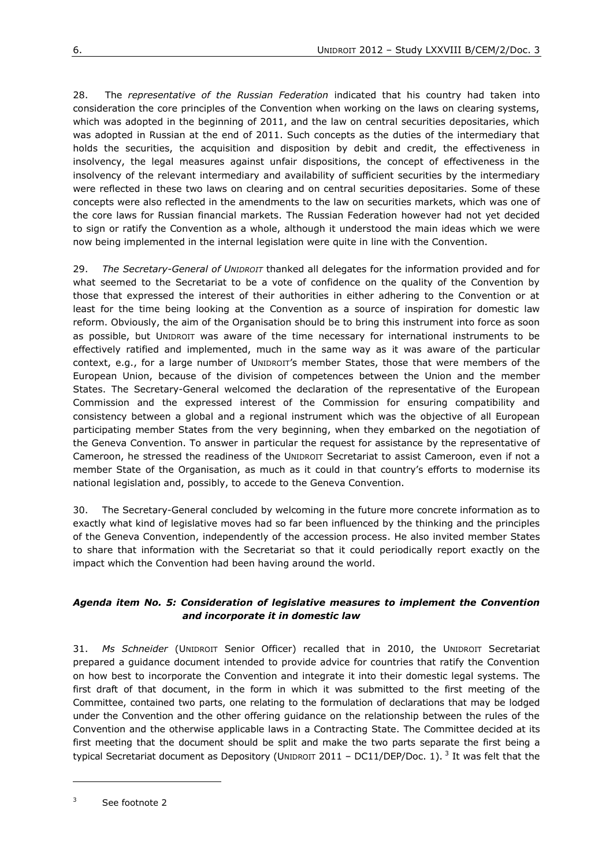28. The *representative of the Russian Federation* indicated that his country had taken into consideration the core principles of the Convention when working on the laws on clearing systems, which was adopted in the beginning of 2011, and the law on central securities depositaries, which was adopted in Russian at the end of 2011. Such concepts as the duties of the intermediary that holds the securities, the acquisition and disposition by debit and credit, the effectiveness in insolvency, the legal measures against unfair dispositions, the concept of effectiveness in the insolvency of the relevant intermediary and availability of sufficient securities by the intermediary were reflected in these two laws on clearing and on central securities depositaries. Some of these concepts were also reflected in the amendments to the law on securities markets, which was one of the core laws for Russian financial markets. The Russian Federation however had not yet decided to sign or ratify the Convention as a whole, although it understood the main ideas which we were now being implemented in the internal legislation were quite in line with the Convention.

29. *The Secretary-General of UNIDROIT* thanked all delegates for the information provided and for what seemed to the Secretariat to be a vote of confidence on the quality of the Convention by those that expressed the interest of their authorities in either adhering to the Convention or at least for the time being looking at the Convention as a source of inspiration for domestic law reform. Obviously, the aim of the Organisation should be to bring this instrument into force as soon as possible, but UNIDROIT was aware of the time necessary for international instruments to be effectively ratified and implemented, much in the same way as it was aware of the particular context, e.g., for a large number of UNIDROIT's member States, those that were members of the European Union, because of the division of competences between the Union and the member States. The Secretary-General welcomed the declaration of the representative of the European Commission and the expressed interest of the Commission for ensuring compatibility and consistency between a global and a regional instrument which was the objective of all European participating member States from the very beginning, when they embarked on the negotiation of the Geneva Convention. To answer in particular the request for assistance by the representative of Cameroon, he stressed the readiness of the UNIDROIT Secretariat to assist Cameroon, even if not a member State of the Organisation, as much as it could in that country's efforts to modernise its national legislation and, possibly, to accede to the Geneva Convention.

30. The Secretary-General concluded by welcoming in the future more concrete information as to exactly what kind of legislative moves had so far been influenced by the thinking and the principles of the Geneva Convention, independently of the accession process. He also invited member States to share that information with the Secretariat so that it could periodically report exactly on the impact which the Convention had been having around the world.

# *Agenda item No. 5: Consideration of legislative measures to implement the Convention and incorporate it in domestic law*

31. *Ms Schneider* (UNIDROIT Senior Officer) recalled that in 2010, the UNIDROIT Secretariat prepared a guidance document intended to provide advice for countries that ratify the Convention on how best to incorporate the Convention and integrate it into their domestic legal systems. The first draft of that document, in the form in which it was submitted to the first meeting of the Committee, contained two parts, one relating to the formulation of declarations that may be lodged under the Convention and the other offering guidance on the relationship between the rules of the Convention and the otherwise applicable laws in a Contracting State. The Committee decided at its first meeting that the document should be split and make the two parts separate the first being a typical Secretariat document as Depository (UNIDROIT 2011 - DC11/DEP/Doc. 1).<sup>3</sup> It was felt that the

<sup>3</sup> See footnote 2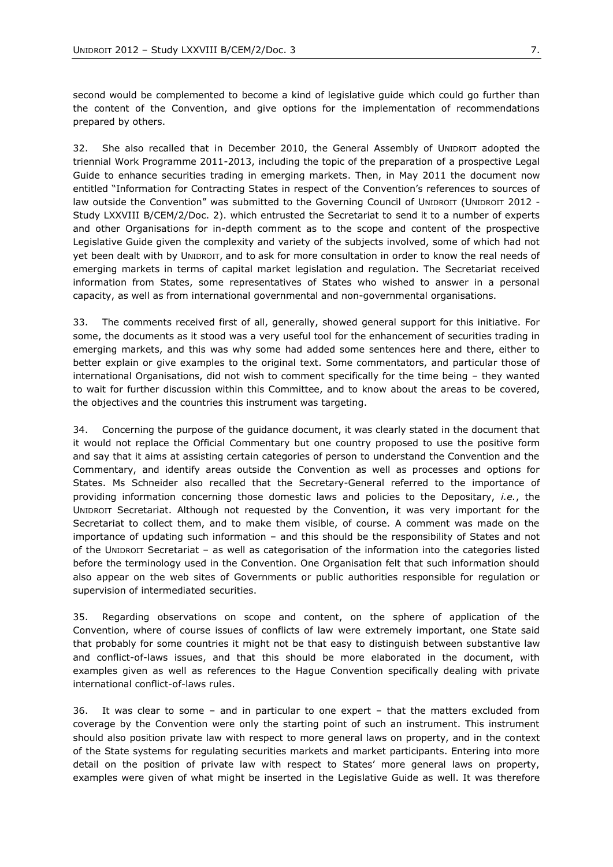second would be complemented to become a kind of legislative guide which could go further than the content of the Convention, and give options for the implementation of recommendations prepared by others.

32. She also recalled that in December 2010, the General Assembly of UNIDROIT adopted the triennial Work Programme 2011-2013, including the topic of the preparation of a prospective Legal Guide to enhance securities trading in emerging markets. Then, in May 2011 the document now entitled "Information for Contracting States in respect of the Convention's references to sources of law outside the Convention" was submitted to the Governing Council of UNIDROIT (UNIDROIT 2012 -Study LXXVIII B/CEM/2/Doc. 2). which entrusted the Secretariat to send it to a number of experts and other Organisations for in-depth comment as to the scope and content of the prospective Legislative Guide given the complexity and variety of the subjects involved, some of which had not yet been dealt with by UNIDROIT, and to ask for more consultation in order to know the real needs of emerging markets in terms of capital market legislation and regulation. The Secretariat received information from States, some representatives of States who wished to answer in a personal capacity, as well as from international governmental and non-governmental organisations.

33. The comments received first of all, generally, showed general support for this initiative. For some, the documents as it stood was a very useful tool for the enhancement of securities trading in emerging markets, and this was why some had added some sentences here and there, either to better explain or give examples to the original text. Some commentators, and particular those of international Organisations, did not wish to comment specifically for the time being – they wanted to wait for further discussion within this Committee, and to know about the areas to be covered, the objectives and the countries this instrument was targeting.

34. Concerning the purpose of the guidance document, it was clearly stated in the document that it would not replace the Official Commentary but one country proposed to use the positive form and say that it aims at assisting certain categories of person to understand the Convention and the Commentary, and identify areas outside the Convention as well as processes and options for States. Ms Schneider also recalled that the Secretary-General referred to the importance of providing information concerning those domestic laws and policies to the Depositary, *i.e.*, the UNIDROIT Secretariat. Although not requested by the Convention, it was very important for the Secretariat to collect them, and to make them visible, of course. A comment was made on the importance of updating such information – and this should be the responsibility of States and not of the UNIDROIT Secretariat – as well as categorisation of the information into the categories listed before the terminology used in the Convention. One Organisation felt that such information should also appear on the web sites of Governments or public authorities responsible for regulation or supervision of intermediated securities.

35. Regarding observations on scope and content, on the sphere of application of the Convention, where of course issues of conflicts of law were extremely important, one State said that probably for some countries it might not be that easy to distinguish between substantive law and conflict-of-laws issues, and that this should be more elaborated in the document, with examples given as well as references to the Hague Convention specifically dealing with private international conflict-of-laws rules.

36. It was clear to some – and in particular to one expert – that the matters excluded from coverage by the Convention were only the starting point of such an instrument. This instrument should also position private law with respect to more general laws on property, and in the context of the State systems for regulating securities markets and market participants. Entering into more detail on the position of private law with respect to States' more general laws on property, examples were given of what might be inserted in the Legislative Guide as well. It was therefore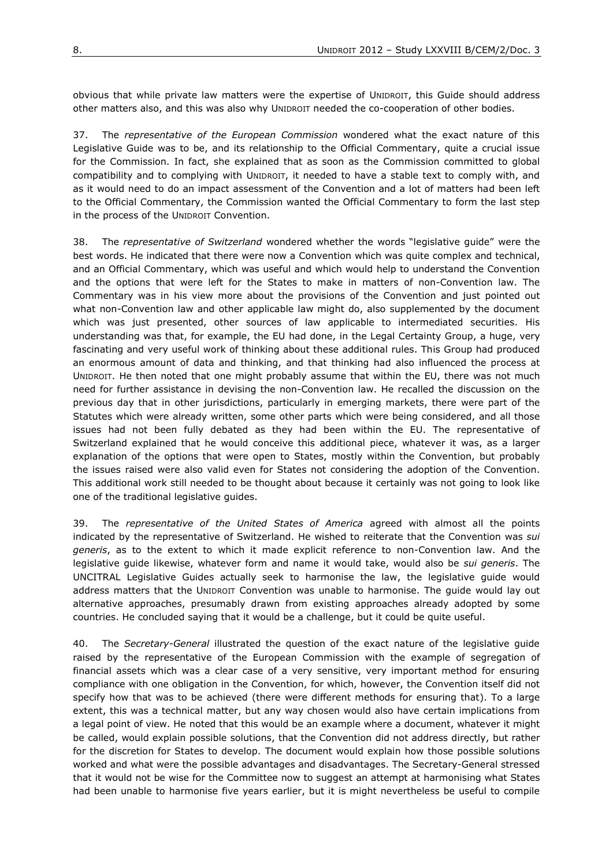obvious that while private law matters were the expertise of UNIDROIT, this Guide should address other matters also, and this was also why UNIDROIT needed the co-cooperation of other bodies.

37. The *representative of the European Commission* wondered what the exact nature of this Legislative Guide was to be, and its relationship to the Official Commentary, quite a crucial issue for the Commission. In fact, she explained that as soon as the Commission committed to global compatibility and to complying with UNIDROIT, it needed to have a stable text to comply with, and as it would need to do an impact assessment of the Convention and a lot of matters had been left to the Official Commentary, the Commission wanted the Official Commentary to form the last step in the process of the UNIDROIT Convention.

38. The *representative of Switzerland* wondered whether the words "legislative guide" were the best words. He indicated that there were now a Convention which was quite complex and technical, and an Official Commentary, which was useful and which would help to understand the Convention and the options that were left for the States to make in matters of non-Convention law. The Commentary was in his view more about the provisions of the Convention and just pointed out what non-Convention law and other applicable law might do, also supplemented by the document which was just presented, other sources of law applicable to intermediated securities. His understanding was that, for example, the EU had done, in the Legal Certainty Group, a huge, very fascinating and very useful work of thinking about these additional rules. This Group had produced an enormous amount of data and thinking, and that thinking had also influenced the process at UNIDROIT. He then noted that one might probably assume that within the EU, there was not much need for further assistance in devising the non-Convention law. He recalled the discussion on the previous day that in other jurisdictions, particularly in emerging markets, there were part of the Statutes which were already written, some other parts which were being considered, and all those issues had not been fully debated as they had been within the EU. The representative of Switzerland explained that he would conceive this additional piece, whatever it was, as a larger explanation of the options that were open to States, mostly within the Convention, but probably the issues raised were also valid even for States not considering the adoption of the Convention. This additional work still needed to be thought about because it certainly was not going to look like one of the traditional legislative guides.

39. The *representative of the United States of America* agreed with almost all the points indicated by the representative of Switzerland. He wished to reiterate that the Convention was *sui generis*, as to the extent to which it made explicit reference to non-Convention law. And the legislative guide likewise, whatever form and name it would take, would also be *sui generis*. The UNCITRAL Legislative Guides actually seek to harmonise the law, the legislative guide would address matters that the UNIDROIT Convention was unable to harmonise. The guide would lay out alternative approaches, presumably drawn from existing approaches already adopted by some countries. He concluded saying that it would be a challenge, but it could be quite useful.

40. The *Secretary-General* illustrated the question of the exact nature of the legislative guide raised by the representative of the European Commission with the example of segregation of financial assets which was a clear case of a very sensitive, very important method for ensuring compliance with one obligation in the Convention, for which, however, the Convention itself did not specify how that was to be achieved (there were different methods for ensuring that). To a large extent, this was a technical matter, but any way chosen would also have certain implications from a legal point of view. He noted that this would be an example where a document, whatever it might be called, would explain possible solutions, that the Convention did not address directly, but rather for the discretion for States to develop. The document would explain how those possible solutions worked and what were the possible advantages and disadvantages. The Secretary-General stressed that it would not be wise for the Committee now to suggest an attempt at harmonising what States had been unable to harmonise five years earlier, but it is might nevertheless be useful to compile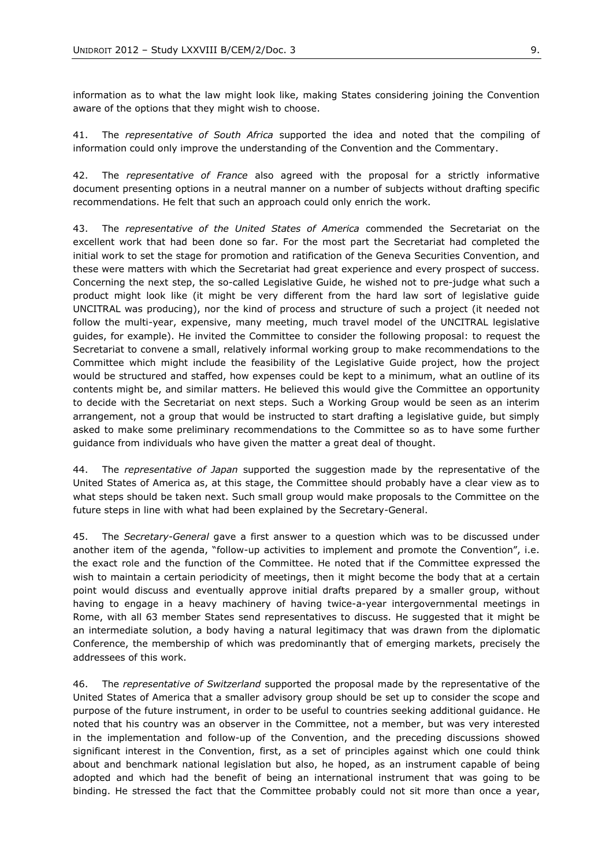information as to what the law might look like, making States considering joining the Convention aware of the options that they might wish to choose.

41. The *representative of South Africa* supported the idea and noted that the compiling of information could only improve the understanding of the Convention and the Commentary.

42. The *representative of France* also agreed with the proposal for a strictly informative document presenting options in a neutral manner on a number of subjects without drafting specific recommendations. He felt that such an approach could only enrich the work.

43. The *representative of the United States of America* commended the Secretariat on the excellent work that had been done so far. For the most part the Secretariat had completed the initial work to set the stage for promotion and ratification of the Geneva Securities Convention, and these were matters with which the Secretariat had great experience and every prospect of success. Concerning the next step, the so-called Legislative Guide, he wished not to pre-judge what such a product might look like (it might be very different from the hard law sort of legislative guide UNCITRAL was producing), nor the kind of process and structure of such a project (it needed not follow the multi-year, expensive, many meeting, much travel model of the UNCITRAL legislative guides, for example). He invited the Committee to consider the following proposal: to request the Secretariat to convene a small, relatively informal working group to make recommendations to the Committee which might include the feasibility of the Legislative Guide project, how the project would be structured and staffed, how expenses could be kept to a minimum, what an outline of its contents might be, and similar matters. He believed this would give the Committee an opportunity to decide with the Secretariat on next steps. Such a Working Group would be seen as an interim arrangement, not a group that would be instructed to start drafting a legislative guide, but simply asked to make some preliminary recommendations to the Committee so as to have some further guidance from individuals who have given the matter a great deal of thought.

44. The *representative of Japan* supported the suggestion made by the representative of the United States of America as, at this stage, the Committee should probably have a clear view as to what steps should be taken next. Such small group would make proposals to the Committee on the future steps in line with what had been explained by the Secretary-General.

45. The *Secretary-General* gave a first answer to a question which was to be discussed under another item of the agenda, "follow-up activities to implement and promote the Convention", i.e. the exact role and the function of the Committee. He noted that if the Committee expressed the wish to maintain a certain periodicity of meetings, then it might become the body that at a certain point would discuss and eventually approve initial drafts prepared by a smaller group, without having to engage in a heavy machinery of having twice-a-year intergovernmental meetings in Rome, with all 63 member States send representatives to discuss. He suggested that it might be an intermediate solution, a body having a natural legitimacy that was drawn from the diplomatic Conference, the membership of which was predominantly that of emerging markets, precisely the addressees of this work.

46. The *representative of Switzerland* supported the proposal made by the representative of the United States of America that a smaller advisory group should be set up to consider the scope and purpose of the future instrument, in order to be useful to countries seeking additional guidance. He noted that his country was an observer in the Committee, not a member, but was very interested in the implementation and follow-up of the Convention, and the preceding discussions showed significant interest in the Convention, first, as a set of principles against which one could think about and benchmark national legislation but also, he hoped, as an instrument capable of being adopted and which had the benefit of being an international instrument that was going to be binding. He stressed the fact that the Committee probably could not sit more than once a year,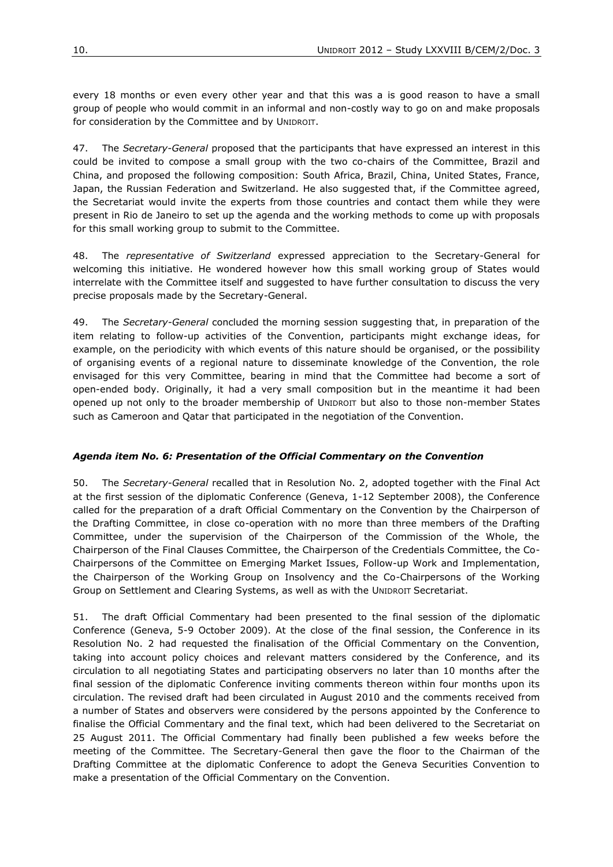every 18 months or even every other year and that this was a is good reason to have a small group of people who would commit in an informal and non-costly way to go on and make proposals for consideration by the Committee and by UNIDROIT.

47. The *Secretary-General* proposed that the participants that have expressed an interest in this could be invited to compose a small group with the two co-chairs of the Committee, Brazil and China, and proposed the following composition: South Africa, Brazil, China, United States, France, Japan, the Russian Federation and Switzerland. He also suggested that, if the Committee agreed, the Secretariat would invite the experts from those countries and contact them while they were present in Rio de Janeiro to set up the agenda and the working methods to come up with proposals for this small working group to submit to the Committee.

48. The *representative of Switzerland* expressed appreciation to the Secretary-General for welcoming this initiative. He wondered however how this small working group of States would interrelate with the Committee itself and suggested to have further consultation to discuss the very precise proposals made by the Secretary-General.

49. The *Secretary-General* concluded the morning session suggesting that, in preparation of the item relating to follow-up activities of the Convention, participants might exchange ideas, for example, on the periodicity with which events of this nature should be organised, or the possibility of organising events of a regional nature to disseminate knowledge of the Convention, the role envisaged for this very Committee, bearing in mind that the Committee had become a sort of open-ended body. Originally, it had a very small composition but in the meantime it had been opened up not only to the broader membership of UNIDROIT but also to those non-member States such as Cameroon and Qatar that participated in the negotiation of the Convention.

# *Agenda item No. 6: Presentation of the Official Commentary on the Convention*

50. The *Secretary-General* recalled that in Resolution No. 2, adopted together with the Final Act at the first session of the diplomatic Conference (Geneva, 1-12 September 2008), the Conference called for the preparation of a draft Official Commentary on the Convention by the Chairperson of the Drafting Committee, in close co-operation with no more than three members of the Drafting Committee, under the supervision of the Chairperson of the Commission of the Whole, the Chairperson of the Final Clauses Committee, the Chairperson of the Credentials Committee, the Co-Chairpersons of the Committee on Emerging Market Issues, Follow-up Work and Implementation, the Chairperson of the Working Group on Insolvency and the Co-Chairpersons of the Working Group on Settlement and Clearing Systems, as well as with the UNIDROIT Secretariat.

51. The draft Official Commentary had been presented to the final session of the diplomatic Conference (Geneva, 5-9 October 2009). At the close of the final session, the Conference in its Resolution No. 2 had requested the finalisation of the Official Commentary on the Convention, taking into account policy choices and relevant matters considered by the Conference, and its circulation to all negotiating States and participating observers no later than 10 months after the final session of the diplomatic Conference inviting comments thereon within four months upon its circulation. The revised draft had been circulated in August 2010 and the comments received from a number of States and observers were considered by the persons appointed by the Conference to finalise the Official Commentary and the final text, which had been delivered to the Secretariat on 25 August 2011. The Official Commentary had finally been published a few weeks before the meeting of the Committee. The Secretary-General then gave the floor to the Chairman of the Drafting Committee at the diplomatic Conference to adopt the Geneva Securities Convention to make a presentation of the Official Commentary on the Convention.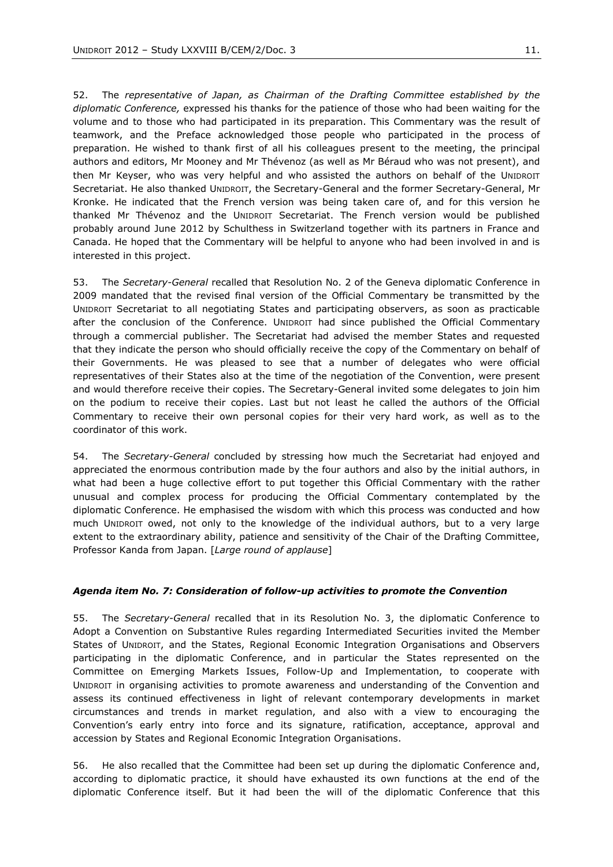52. The *representative of Japan, as Chairman of the Drafting Committee established by the diplomatic Conference,* expressed his thanks for the patience of those who had been waiting for the volume and to those who had participated in its preparation. This Commentary was the result of teamwork, and the Preface acknowledged those people who participated in the process of preparation. He wished to thank first of all his colleagues present to the meeting, the principal authors and editors, Mr Mooney and Mr Thévenoz (as well as Mr Béraud who was not present), and then Mr Keyser, who was very helpful and who assisted the authors on behalf of the UNIDROIT Secretariat. He also thanked UNIDROIT, the Secretary-General and the former Secretary-General, Mr Kronke. He indicated that the French version was being taken care of, and for this version he thanked Mr Thévenoz and the UNIDROIT Secretariat. The French version would be published probably around June 2012 by Schulthess in Switzerland together with its partners in France and Canada. He hoped that the Commentary will be helpful to anyone who had been involved in and is interested in this project.

53. The *Secretary-General* recalled that Resolution No. 2 of the Geneva diplomatic Conference in 2009 mandated that the revised final version of the Official Commentary be transmitted by the UNIDROIT Secretariat to all negotiating States and participating observers, as soon as practicable after the conclusion of the Conference. UNIDROIT had since published the Official Commentary through a commercial publisher. The Secretariat had advised the member States and requested that they indicate the person who should officially receive the copy of the Commentary on behalf of their Governments. He was pleased to see that a number of delegates who were official representatives of their States also at the time of the negotiation of the Convention, were present and would therefore receive their copies. The Secretary-General invited some delegates to join him on the podium to receive their copies. Last but not least he called the authors of the Official Commentary to receive their own personal copies for their very hard work, as well as to the coordinator of this work.

54. The *Secretary-General* concluded by stressing how much the Secretariat had enjoyed and appreciated the enormous contribution made by the four authors and also by the initial authors, in what had been a huge collective effort to put together this Official Commentary with the rather unusual and complex process for producing the Official Commentary contemplated by the diplomatic Conference. He emphasised the wisdom with which this process was conducted and how much UNIDROIT owed, not only to the knowledge of the individual authors, but to a very large extent to the extraordinary ability, patience and sensitivity of the Chair of the Drafting Committee, Professor Kanda from Japan. [*Large round of applause*]

#### *Agenda item No. 7: Consideration of follow-up activities to promote the Convention*

55. The *Secretary-General* recalled that in its Resolution No. 3, the diplomatic Conference to Adopt a Convention on Substantive Rules regarding Intermediated Securities invited the Member States of UNIDROIT, and the States, Regional Economic Integration Organisations and Observers participating in the diplomatic Conference, and in particular the States represented on the Committee on Emerging Markets Issues, Follow-Up and Implementation, to cooperate with UNIDROIT in organising activities to promote awareness and understanding of the Convention and assess its continued effectiveness in light of relevant contemporary developments in market circumstances and trends in market regulation, and also with a view to encouraging the Convention's early entry into force and its signature, ratification, acceptance, approval and accession by States and Regional Economic Integration Organisations.

56. He also recalled that the Committee had been set up during the diplomatic Conference and, according to diplomatic practice, it should have exhausted its own functions at the end of the diplomatic Conference itself. But it had been the will of the diplomatic Conference that this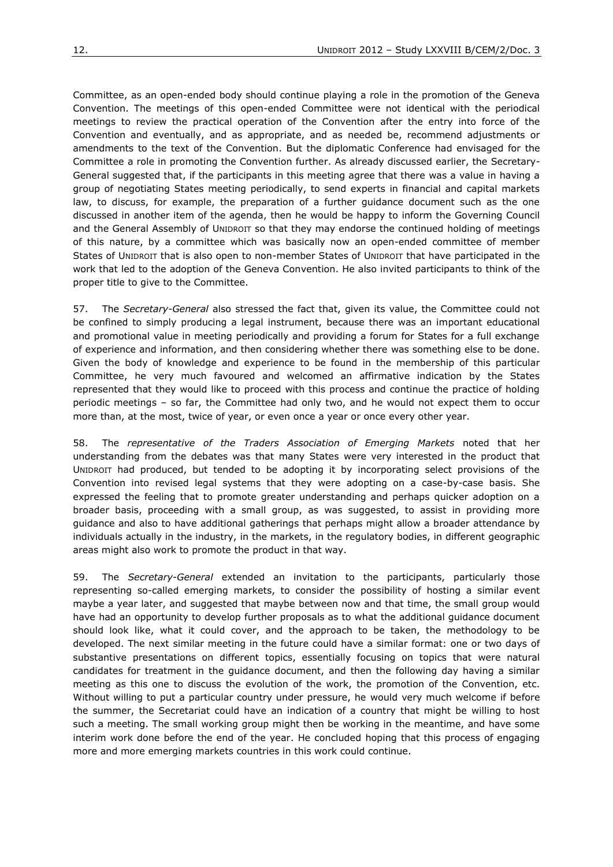Committee, as an open-ended body should continue playing a role in the promotion of the Geneva Convention. The meetings of this open-ended Committee were not identical with the periodical meetings to review the practical operation of the Convention after the entry into force of the Convention and eventually, and as appropriate, and as needed be, recommend adjustments or amendments to the text of the Convention. But the diplomatic Conference had envisaged for the Committee a role in promoting the Convention further. As already discussed earlier, the Secretary-General suggested that, if the participants in this meeting agree that there was a value in having a group of negotiating States meeting periodically, to send experts in financial and capital markets law, to discuss, for example, the preparation of a further guidance document such as the one discussed in another item of the agenda, then he would be happy to inform the Governing Council and the General Assembly of UNIDROIT so that they may endorse the continued holding of meetings of this nature, by a committee which was basically now an open-ended committee of member States of UNIDROIT that is also open to non-member States of UNIDROIT that have participated in the work that led to the adoption of the Geneva Convention. He also invited participants to think of the proper title to give to the Committee.

57. The *Secretary-General* also stressed the fact that, given its value, the Committee could not be confined to simply producing a legal instrument, because there was an important educational and promotional value in meeting periodically and providing a forum for States for a full exchange of experience and information, and then considering whether there was something else to be done. Given the body of knowledge and experience to be found in the membership of this particular Committee, he very much favoured and welcomed an affirmative indication by the States represented that they would like to proceed with this process and continue the practice of holding periodic meetings – so far, the Committee had only two, and he would not expect them to occur more than, at the most, twice of year, or even once a year or once every other year.

58. The *representative of the Traders Association of Emerging Markets* noted that her understanding from the debates was that many States were very interested in the product that UNIDROIT had produced, but tended to be adopting it by incorporating select provisions of the Convention into revised legal systems that they were adopting on a case-by-case basis. She expressed the feeling that to promote greater understanding and perhaps quicker adoption on a broader basis, proceeding with a small group, as was suggested, to assist in providing more guidance and also to have additional gatherings that perhaps might allow a broader attendance by individuals actually in the industry, in the markets, in the regulatory bodies, in different geographic areas might also work to promote the product in that way.

59. The *Secretary-General* extended an invitation to the participants, particularly those representing so-called emerging markets, to consider the possibility of hosting a similar event maybe a year later, and suggested that maybe between now and that time, the small group would have had an opportunity to develop further proposals as to what the additional guidance document should look like, what it could cover, and the approach to be taken, the methodology to be developed. The next similar meeting in the future could have a similar format: one or two days of substantive presentations on different topics, essentially focusing on topics that were natural candidates for treatment in the guidance document, and then the following day having a similar meeting as this one to discuss the evolution of the work, the promotion of the Convention, etc. Without willing to put a particular country under pressure, he would very much welcome if before the summer, the Secretariat could have an indication of a country that might be willing to host such a meeting. The small working group might then be working in the meantime, and have some interim work done before the end of the year. He concluded hoping that this process of engaging more and more emerging markets countries in this work could continue.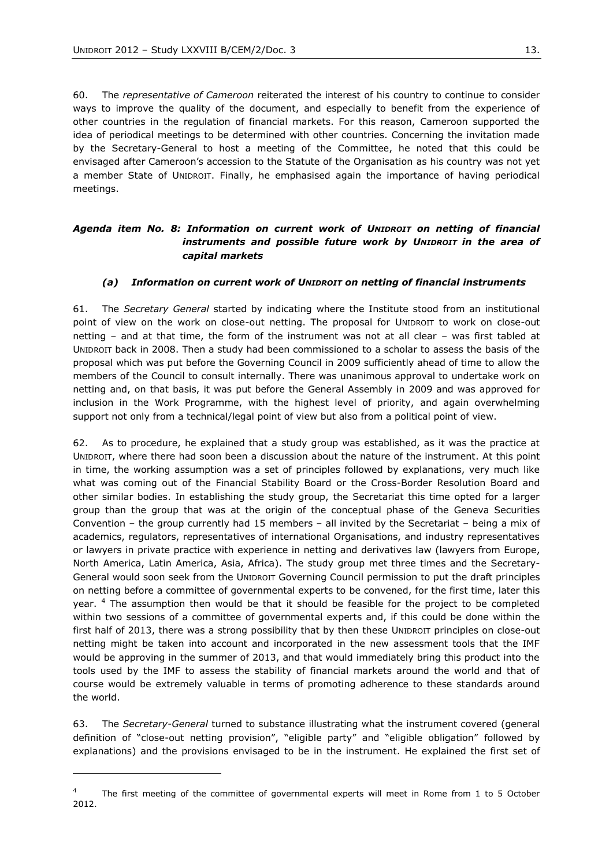60. The *representative of Cameroon* reiterated the interest of his country to continue to consider ways to improve the quality of the document, and especially to benefit from the experience of other countries in the regulation of financial markets. For this reason, Cameroon supported the idea of periodical meetings to be determined with other countries. Concerning the invitation made by the Secretary-General to host a meeting of the Committee, he noted that this could be envisaged after Cameroon's accession to the Statute of the Organisation as his country was not yet a member State of UNIDROIT. Finally, he emphasised again the importance of having periodical meetings.

# *Agenda item No. 8: Information on current work of UNIDROIT on netting of financial instruments and possible future work by UNIDROIT in the area of capital markets*

#### *(a) Information on current work of UNIDROIT on netting of financial instruments*

61. The *Secretary General* started by indicating where the Institute stood from an institutional point of view on the work on close-out netting. The proposal for UNIDROIT to work on close-out netting – and at that time, the form of the instrument was not at all clear – was first tabled at UNIDROIT back in 2008. Then a study had been commissioned to a scholar to assess the basis of the proposal which was put before the Governing Council in 2009 sufficiently ahead of time to allow the members of the Council to consult internally. There was unanimous approval to undertake work on netting and, on that basis, it was put before the General Assembly in 2009 and was approved for inclusion in the Work Programme, with the highest level of priority, and again overwhelming support not only from a technical/legal point of view but also from a political point of view.

62. As to procedure, he explained that a study group was established, as it was the practice at UNIDROIT, where there had soon been a discussion about the nature of the instrument. At this point in time, the working assumption was a set of principles followed by explanations, very much like what was coming out of the Financial Stability Board or the Cross-Border Resolution Board and other similar bodies. In establishing the study group, the Secretariat this time opted for a larger group than the group that was at the origin of the conceptual phase of the Geneva Securities Convention – the group currently had 15 members – all invited by the Secretariat – being a mix of academics, regulators, representatives of international Organisations, and industry representatives or lawyers in private practice with experience in netting and derivatives law (lawyers from Europe, North America, Latin America, Asia, Africa). The study group met three times and the Secretary-General would soon seek from the UNIDROIT Governing Council permission to put the draft principles on netting before a committee of governmental experts to be convened, for the first time, later this year. <sup>4</sup> The assumption then would be that it should be feasible for the project to be completed within two sessions of a committee of governmental experts and, if this could be done within the first half of 2013, there was a strong possibility that by then these UNIDROIT principles on close-out netting might be taken into account and incorporated in the new assessment tools that the IMF would be approving in the summer of 2013, and that would immediately bring this product into the tools used by the IMF to assess the stability of financial markets around the world and that of course would be extremely valuable in terms of promoting adherence to these standards around the world.

63. The *Secretary-General* turned to substance illustrating what the instrument covered (general definition of "close-out netting provision", "eligible party" and "eligible obligation" followed by explanations) and the provisions envisaged to be in the instrument. He explained the first set of

1

<sup>4</sup> The first meeting of the committee of governmental experts will meet in Rome from 1 to 5 October 2012.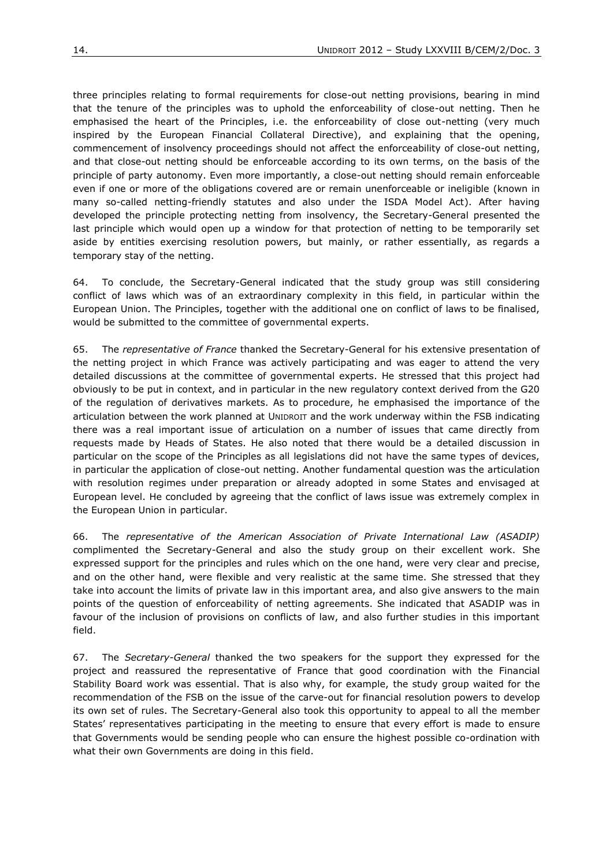three principles relating to formal requirements for close-out netting provisions, bearing in mind that the tenure of the principles was to uphold the enforceability of close-out netting. Then he emphasised the heart of the Principles, i.e. the enforceability of close out-netting (very much inspired by the European Financial Collateral Directive), and explaining that the opening, commencement of insolvency proceedings should not affect the enforceability of close-out netting, and that close-out netting should be enforceable according to its own terms, on the basis of the principle of party autonomy. Even more importantly, a close-out netting should remain enforceable even if one or more of the obligations covered are or remain unenforceable or ineligible (known in many so-called netting-friendly statutes and also under the ISDA Model Act). After having developed the principle protecting netting from insolvency, the Secretary-General presented the last principle which would open up a window for that protection of netting to be temporarily set aside by entities exercising resolution powers, but mainly, or rather essentially, as regards a temporary stay of the netting.

64. To conclude, the Secretary-General indicated that the study group was still considering conflict of laws which was of an extraordinary complexity in this field, in particular within the European Union. The Principles, together with the additional one on conflict of laws to be finalised, would be submitted to the committee of governmental experts.

65. The *representative of France* thanked the Secretary-General for his extensive presentation of the netting project in which France was actively participating and was eager to attend the very detailed discussions at the committee of governmental experts. He stressed that this project had obviously to be put in context, and in particular in the new regulatory context derived from the G20 of the regulation of derivatives markets. As to procedure, he emphasised the importance of the articulation between the work planned at UNIDROIT and the work underway within the FSB indicating there was a real important issue of articulation on a number of issues that came directly from requests made by Heads of States. He also noted that there would be a detailed discussion in particular on the scope of the Principles as all legislations did not have the same types of devices, in particular the application of close-out netting. Another fundamental question was the articulation with resolution regimes under preparation or already adopted in some States and envisaged at European level. He concluded by agreeing that the conflict of laws issue was extremely complex in the European Union in particular.

66. The *representative of the American Association of Private International Law (ASADIP)* complimented the Secretary-General and also the study group on their excellent work. She expressed support for the principles and rules which on the one hand, were very clear and precise, and on the other hand, were flexible and very realistic at the same time. She stressed that they take into account the limits of private law in this important area, and also give answers to the main points of the question of enforceability of netting agreements. She indicated that ASADIP was in favour of the inclusion of provisions on conflicts of law, and also further studies in this important field.

67. The *Secretary-General* thanked the two speakers for the support they expressed for the project and reassured the representative of France that good coordination with the Financial Stability Board work was essential. That is also why, for example, the study group waited for the recommendation of the FSB on the issue of the carve-out for financial resolution powers to develop its own set of rules. The Secretary-General also took this opportunity to appeal to all the member States' representatives participating in the meeting to ensure that every effort is made to ensure that Governments would be sending people who can ensure the highest possible co-ordination with what their own Governments are doing in this field.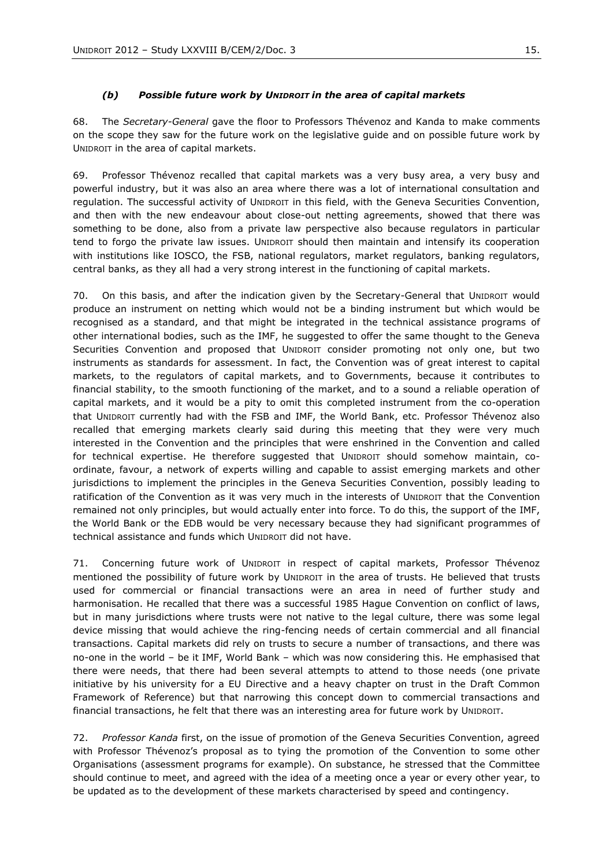#### *(b) Possible future work by UNIDROIT in the area of capital markets*

68. The *Secretary-General* gave the floor to Professors Thévenoz and Kanda to make comments on the scope they saw for the future work on the legislative guide and on possible future work by UNIDROIT in the area of capital markets.

69. Professor Thévenoz recalled that capital markets was a very busy area, a very busy and powerful industry, but it was also an area where there was a lot of international consultation and regulation. The successful activity of UNIDROIT in this field, with the Geneva Securities Convention, and then with the new endeavour about close-out netting agreements, showed that there was something to be done, also from a private law perspective also because regulators in particular tend to forgo the private law issues. UNIDROIT should then maintain and intensify its cooperation with institutions like IOSCO, the FSB, national regulators, market regulators, banking regulators, central banks, as they all had a very strong interest in the functioning of capital markets.

70. On this basis, and after the indication given by the Secretary-General that UNIDROIT would produce an instrument on netting which would not be a binding instrument but which would be recognised as a standard, and that might be integrated in the technical assistance programs of other international bodies, such as the IMF, he suggested to offer the same thought to the Geneva Securities Convention and proposed that UNIDROIT consider promoting not only one, but two instruments as standards for assessment. In fact, the Convention was of great interest to capital markets, to the regulators of capital markets, and to Governments, because it contributes to financial stability, to the smooth functioning of the market, and to a sound a reliable operation of capital markets, and it would be a pity to omit this completed instrument from the co-operation that UNIDROIT currently had with the FSB and IMF, the World Bank, etc. Professor Thévenoz also recalled that emerging markets clearly said during this meeting that they were very much interested in the Convention and the principles that were enshrined in the Convention and called for technical expertise. He therefore suggested that UNIDROIT should somehow maintain, coordinate, favour, a network of experts willing and capable to assist emerging markets and other jurisdictions to implement the principles in the Geneva Securities Convention, possibly leading to ratification of the Convention as it was very much in the interests of UNIDROIT that the Convention remained not only principles, but would actually enter into force. To do this, the support of the IMF, the World Bank or the EDB would be very necessary because they had significant programmes of technical assistance and funds which UNIDROIT did not have.

71. Concerning future work of UNIDROIT in respect of capital markets, Professor Thévenoz mentioned the possibility of future work by UNIDROIT in the area of trusts. He believed that trusts used for commercial or financial transactions were an area in need of further study and harmonisation. He recalled that there was a successful 1985 Hague Convention on conflict of laws, but in many jurisdictions where trusts were not native to the legal culture, there was some legal device missing that would achieve the ring-fencing needs of certain commercial and all financial transactions. Capital markets did rely on trusts to secure a number of transactions, and there was no-one in the world – be it IMF, World Bank – which was now considering this. He emphasised that there were needs, that there had been several attempts to attend to those needs (one private initiative by his university for a EU Directive and a heavy chapter on trust in the Draft Common Framework of Reference) but that narrowing this concept down to commercial transactions and financial transactions, he felt that there was an interesting area for future work by UNIDROIT.

72. *Professor Kanda* first, on the issue of promotion of the Geneva Securities Convention, agreed with Professor Thévenoz's proposal as to tying the promotion of the Convention to some other Organisations (assessment programs for example). On substance, he stressed that the Committee should continue to meet, and agreed with the idea of a meeting once a year or every other year, to be updated as to the development of these markets characterised by speed and contingency.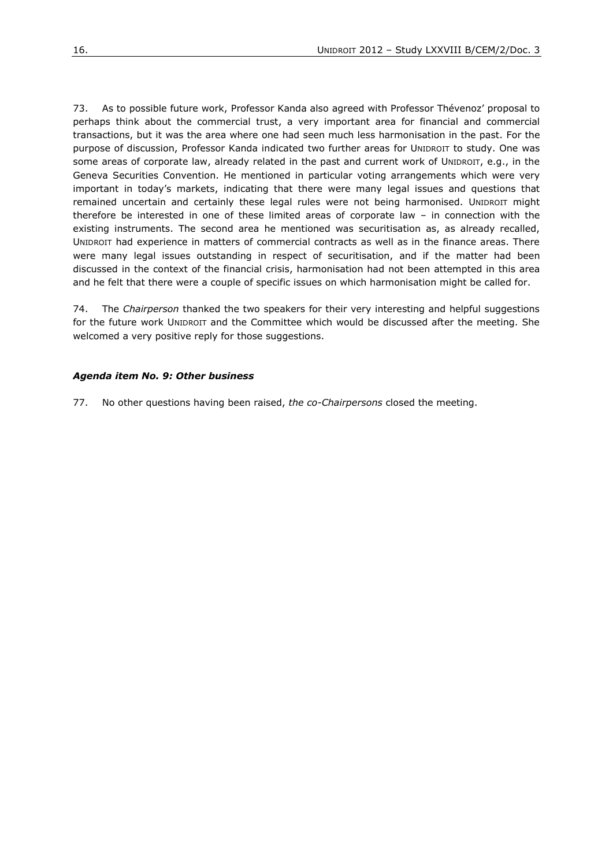73. As to possible future work, Professor Kanda also agreed with Professor Thévenoz' proposal to perhaps think about the commercial trust, a very important area for financial and commercial transactions, but it was the area where one had seen much less harmonisation in the past. For the purpose of discussion, Professor Kanda indicated two further areas for UNIDROIT to study. One was some areas of corporate law, already related in the past and current work of UNIDROIT, e.g., in the Geneva Securities Convention. He mentioned in particular voting arrangements which were very important in today's markets, indicating that there were many legal issues and questions that remained uncertain and certainly these legal rules were not being harmonised. UNIDROIT might therefore be interested in one of these limited areas of corporate law – in connection with the existing instruments. The second area he mentioned was securitisation as, as already recalled, UNIDROIT had experience in matters of commercial contracts as well as in the finance areas. There were many legal issues outstanding in respect of securitisation, and if the matter had been discussed in the context of the financial crisis, harmonisation had not been attempted in this area and he felt that there were a couple of specific issues on which harmonisation might be called for.

74. The *Chairperson* thanked the two speakers for their very interesting and helpful suggestions for the future work UNIDROIT and the Committee which would be discussed after the meeting. She welcomed a very positive reply for those suggestions.

# *Agenda item No. 9: Other business*

77. No other questions having been raised, *the co-Chairpersons* closed the meeting.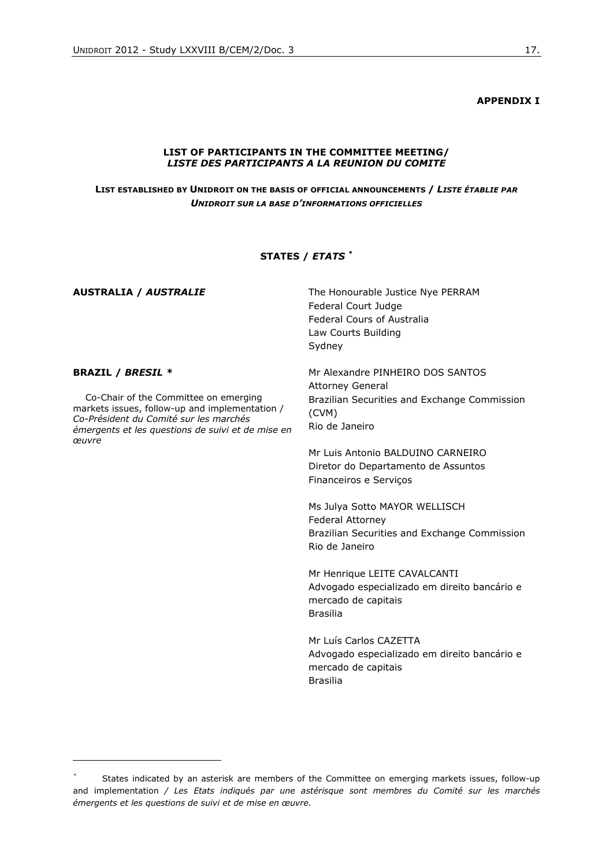#### **APPENDIX I**

#### **LIST OF PARTICIPANTS IN THE COMMITTEE MEETING/** *LISTE DES PARTICIPANTS A LA REUNION DU COMITE*

**LIST ESTABLISHED BY UNIDROIT ON THE BASIS OF OFFICIAL ANNOUNCEMENTS /** *LISTE ÉTABLIE PAR UNIDROIT SUR LA BASE D'INFORMATIONS OFFICIELLES*

#### **STATES /** *ETATS \**

**BRAZIL /** *BRESIL \**

 Co-Chair of the Committee on emerging markets issues, follow-up and implementation / *Co-Président du Comité sur les marchés émergents et les questions de suivi et de mise en œuvre*

**AUSTRALIA /** *AUSTRALIE* The Honourable Justice Nye PERRAM Federal Court Judge Federal Cours of Australia Law Courts Building Sydney

> Mr Alexandre PINHEIRO DOS SANTOS Attorney General Brazilian Securities and Exchange Commission (CVM) Rio de Janeiro

Mr Luis Antonio BALDUINO CARNEIRO Diretor do Departamento de Assuntos Financeiros e Serviços

Ms Julya Sotto MAYOR WELLISCH Federal Attorney Brazilian Securities and Exchange Commission Rio de Janeiro

Mr Henrique LEITE CAVALCANTI Advogado especializado em direito bancário e mercado de capitais Brasilia

Mr Luís Carlos CAZETTA Advogado especializado em direito bancário e mercado de capitais Brasilia

States indicated by an asterisk are members of the Committee on emerging markets issues, follow-up and implementation */ Les Etats indiqués par une astérisque sont membres du Comité sur les marchés émergents et les questions de suivi et de mise en œuvre.*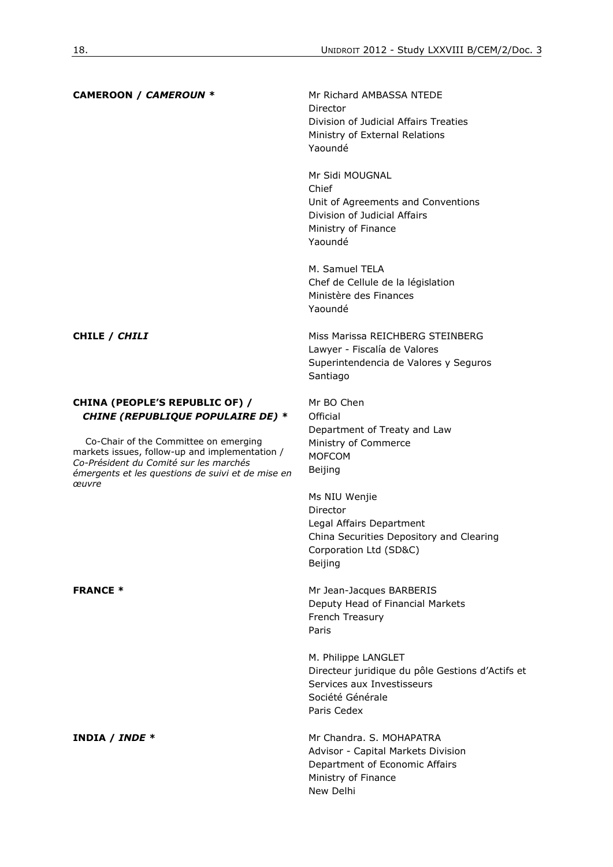#### **CAMEROON / CAMEROUN \*** Mr Richard AMBASSA NTEDE

### **CHINA (PEOPLE'S REPUBLIC OF) /** *CHINE (REPUBLIQUE POPULAIRE DE) \**

 Co-Chair of the Committee on emerging markets issues, follow-up and implementation / *Co-Président du Comité sur les marchés émergents et les questions de suivi et de mise en œuvre*

Director Division of Judicial Affairs Treaties Ministry of External Relations Yaoundé

Mr Sidi MOUGNAL Chief Unit of Agreements and Conventions Division of Judicial Affairs Ministry of Finance Yaoundé

M. Samuel TELA Chef de Cellule de la législation Ministère des Finances Yaoundé

**CHILE / CHILI** Miss Marissa REICHBERG STEINBERG Lawyer - Fiscalía de Valores Superintendencia de Valores y Seguros Santiago

> Mr BO Chen **Official** Department of Treaty and Law Ministry of Commerce MOFCOM Beijing

Ms NIU Wenjie Director Legal Affairs Department China Securities Depository and Clearing Corporation Ltd (SD&C) **Beijing** 

**FRANCE \*** Mr Jean-Jacques BARBERIS Deputy Head of Financial Markets French Treasury Paris

> M. Philippe LANGLET Directeur juridique du pôle Gestions d'Actifs et Services aux Investisseurs Société Générale Paris Cedex

**INDIA /** *INDE* \* Mr Chandra. S. MOHAPATRA Advisor - Capital Markets Division Department of Economic Affairs Ministry of Finance New Delhi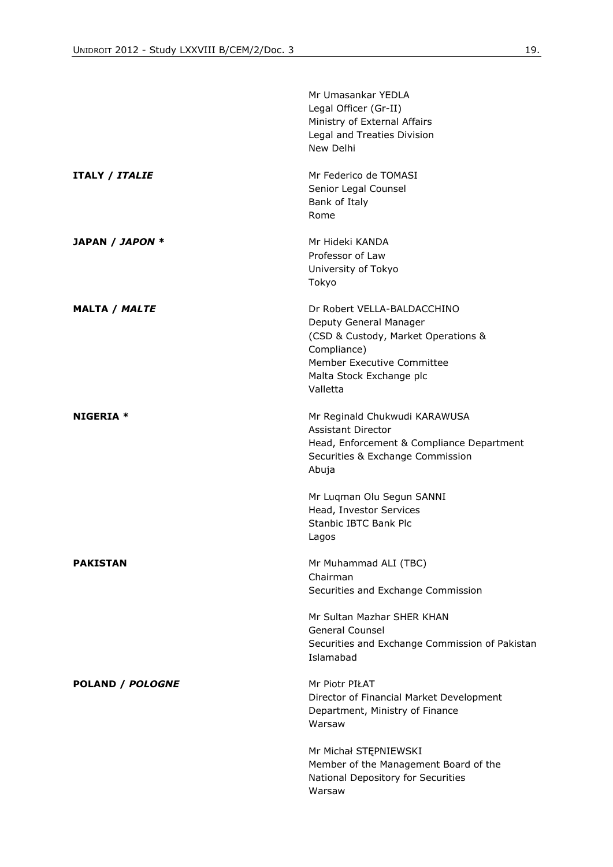|                       | Mr Umasankar YEDLA<br>Legal Officer (Gr-II)<br>Ministry of External Affairs<br>Legal and Treaties Division<br>New Delhi                                                           |
|-----------------------|-----------------------------------------------------------------------------------------------------------------------------------------------------------------------------------|
| <b>ITALY / ITALIE</b> | Mr Federico de TOMASI<br>Senior Legal Counsel<br>Bank of Italy<br>Rome                                                                                                            |
| JAPAN / JAPON *       | Mr Hideki KANDA<br>Professor of Law<br>University of Tokyo<br>Tokyo                                                                                                               |
| MALTA / MALTE         | Dr Robert VELLA-BALDACCHINO<br>Deputy General Manager<br>(CSD & Custody, Market Operations &<br>Compliance)<br>Member Executive Committee<br>Malta Stock Exchange plc<br>Valletta |
| <b>NIGERIA *</b>      | Mr Reginald Chukwudi KARAWUSA<br><b>Assistant Director</b><br>Head, Enforcement & Compliance Department<br>Securities & Exchange Commission<br>Abuja                              |
|                       | Mr Luqman Olu Segun SANNI<br>Head, Investor Services<br>Stanbic IBTC Bank Plc<br>Lagos                                                                                            |
| PAKISTAN              | Mr Muhammad ALI (TBC)<br>Chairman<br>Securities and Exchange Commission                                                                                                           |
|                       | Mr Sultan Mazhar SHER KHAN<br>General Counsel<br>Securities and Exchange Commission of Pakistan<br>Islamabad                                                                      |
| POLAND / POLOGNE      | Mr Piotr PIŁAT<br>Director of Financial Market Development<br>Department, Ministry of Finance<br>Warsaw                                                                           |
|                       | Mr Michał STĘPNIEWSKI<br>Member of the Management Board of the<br>National Depository for Securities<br>Warsaw                                                                    |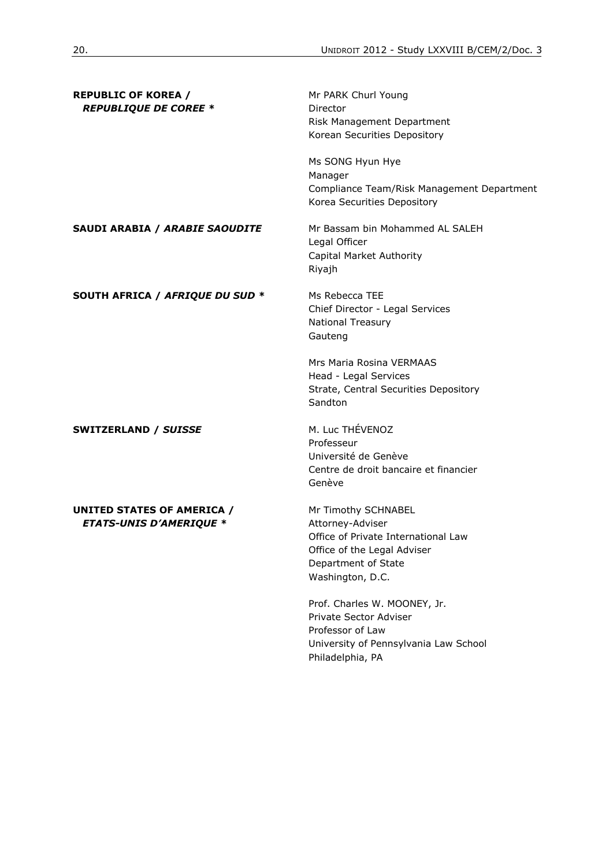| <b>REPUBLIC OF KOREA /</b><br><b>REPUBLIQUE DE COREE *</b>          | Mr PARK Churl Young<br>Director<br>Risk Management Department<br>Korean Securities Depository                                                            |
|---------------------------------------------------------------------|----------------------------------------------------------------------------------------------------------------------------------------------------------|
|                                                                     | Ms SONG Hyun Hye<br>Manager<br>Compliance Team/Risk Management Department<br>Korea Securities Depository                                                 |
| SAUDI ARABIA / ARABIE SAOUDITE                                      | Mr Bassam bin Mohammed AL SALEH<br>Legal Officer<br>Capital Market Authority<br>Riyajh                                                                   |
| SOUTH AFRICA / AFRIQUE DU SUD *                                     | Ms Rebecca TEE<br>Chief Director - Legal Services<br><b>National Treasury</b><br>Gauteng                                                                 |
|                                                                     | Mrs Maria Rosina VERMAAS<br>Head - Legal Services<br>Strate, Central Securities Depository<br>Sandton                                                    |
| <b>SWITZERLAND / SUISSE</b>                                         | M. Luc THÉVENOZ<br>Professeur<br>Université de Genève<br>Centre de droit bancaire et financier<br>Genève                                                 |
| <b>UNITED STATES OF AMERICA /</b><br><b>ETATS-UNIS D'AMERIQUE *</b> | Mr Timothy SCHNABEL<br>Attorney-Adviser<br>Office of Private International Law<br>Office of the Legal Adviser<br>Department of State<br>Washington, D.C. |
|                                                                     | Prof. Charles W. MOONEY, Jr.<br>Private Sector Adviser<br>Professor of Law<br>University of Pennsylvania Law School<br>Philadelphia, PA                  |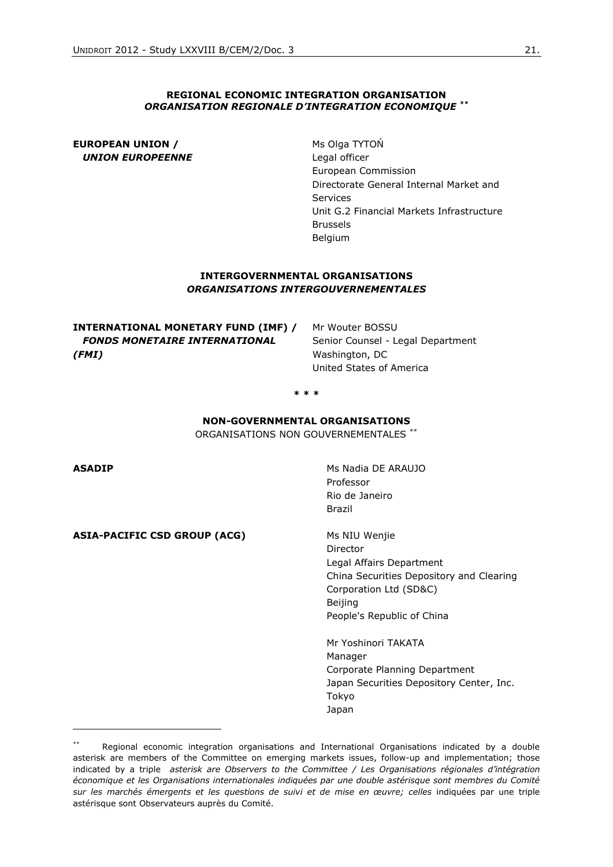#### **REGIONAL ECONOMIC INTEGRATION ORGANISATION** *ORGANISATION REGIONALE D'INTEGRATION ECONOMIQUE \*\**

#### **EUROPEAN UNION /**   *UNION EUROPEENNE*

Ms Olga TYTOŃ Legal officer European Commission Directorate General Internal Market and Services Unit G.2 Financial Markets Infrastructure Brussels Belgium

#### **INTERGOVERNMENTAL ORGANISATIONS** *ORGANISATIONS INTERGOUVERNEMENTALES*

**INTERNATIONAL MONETARY FUND (IMF) /** *FONDS MONETAIRE INTERNATIONAL (FMI)*

Mr Wouter BOSSU Senior Counsel - Legal Department Washington, DC United States of America

**\* \* \***

#### **NON-GOVERNMENTAL ORGANISATIONS**

ORGANISATIONS NON GOUVERNEMENTALES<sup>\*</sup>

**ASIA-PACIFIC CSD GROUP (ACG)** Ms NIU Wenjie

**ASADIP** Ms Nadia DE ARAUJO Professor Rio de Janeiro Brazil

> Director Legal Affairs Department China Securities Depository and Clearing Corporation Ltd (SD&C) Beijing People's Republic of China

Mr Yoshinori TAKATA Manager Corporate Planning Department Japan Securities Depository Center, Inc. Tokyo Japan

Regional economic integration organisations and International Organisations indicated by a double asterisk are members of the Committee on emerging markets issues, follow-up and implementation; those indicated by a triple *asterisk are Observers to the Committee / Les Organisations régionales d'intégration économique et les Organisations internationales indiquées par une double astérisque sont membres du Comité sur les marchés émergents et les questions de suivi et de mise en œuvre; celles* indiquées par une triple astérisque sont Observateurs auprès du Comité.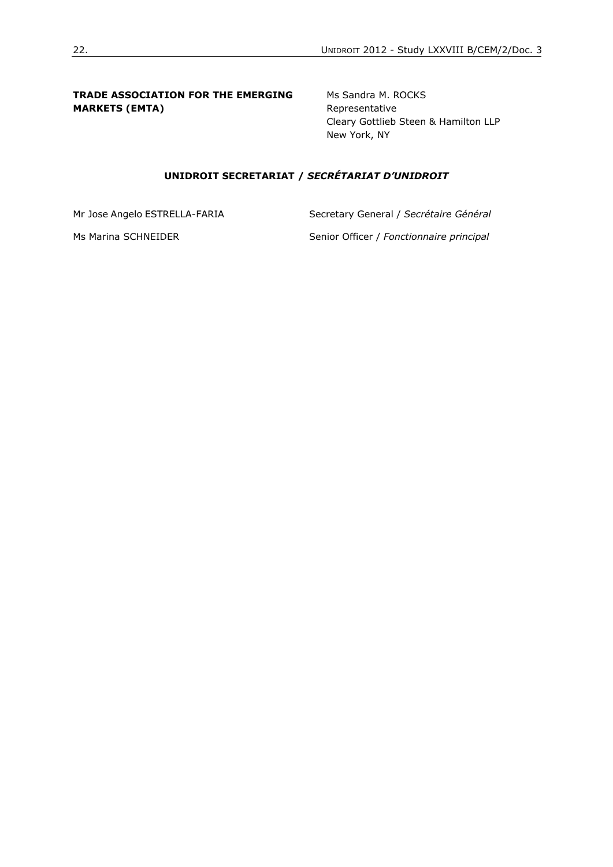# **TRADE ASSOCIATION FOR THE EMERGING MARKETS (EMTA)**

Ms Sandra M. ROCKS Representative Cleary Gottlieb Steen & Hamilton LLP New York, NY

# **UNIDROIT SECRETARIAT /** *SECRÉTARIAT D'UNIDROIT*

Mr Jose Angelo ESTRELLA-FARIA Secretary General / Secrétaire Général Ms Marina SCHNEIDER Senior Officer / *Fonctionnaire principal*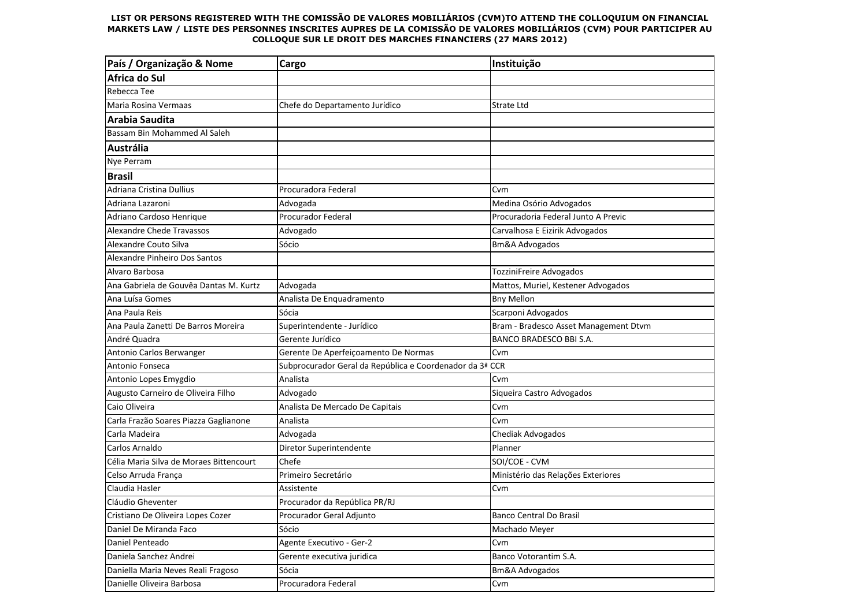#### LIST OR PERSONS REGISTERED WITH THE COMISSAO DE VALORES MOBILIARIOS (CVM)TO ATTEND THE COLLOQUIUM ON FINANCIAL **MARKETS LAW / LISTE DES PERSONNES INSCRITES AUPRES DE LA COMISSÃO DE VALORES MOBILIÁRIOS (CVM) POUR PARTICIPER AU COLLOQUE SUR LE DROIT DES MARCHES FINANCIERS (27 MARS 2012)**

| País / Organização & Nome               | Cargo                                                    | Instituição                           |
|-----------------------------------------|----------------------------------------------------------|---------------------------------------|
| Africa do Sul                           |                                                          |                                       |
| Rebecca Tee                             |                                                          |                                       |
| Maria Rosina Vermaas                    | Chefe do Departamento Jurídico                           | Strate Ltd                            |
| Arabia Saudita                          |                                                          |                                       |
| Bassam Bin Mohammed Al Saleh            |                                                          |                                       |
| <b>Austrália</b>                        |                                                          |                                       |
| Nye Perram                              |                                                          |                                       |
| <b>Brasil</b>                           |                                                          |                                       |
| Adriana Cristina Dullius                | Procuradora Federal                                      | Cvm                                   |
| Adriana Lazaroni                        | Advogada                                                 | Medina Osório Advogados               |
| Adriano Cardoso Henrique                | Procurador Federal                                       | Procuradoria Federal Junto A Previc   |
| Alexandre Chede Travassos               | Advogado                                                 | Carvalhosa E Eizirik Advogados        |
| Alexandre Couto Silva                   | Sócio                                                    | <b>Bm&amp;A Advogados</b>             |
| Alexandre Pinheiro Dos Santos           |                                                          |                                       |
| Alvaro Barbosa                          |                                                          | TozziniFreire Advogados               |
| Ana Gabriela de Gouvêa Dantas M. Kurtz  | Advogada                                                 | Mattos, Muriel, Kestener Advogados    |
| Ana Luísa Gomes                         | Analista De Enquadramento                                | <b>Bny Mellon</b>                     |
| Ana Paula Reis                          | Sócia                                                    | Scarponi Advogados                    |
| Ana Paula Zanetti De Barros Moreira     | Superintendente - Jurídico                               | Bram - Bradesco Asset Management Dtvm |
| André Quadra                            | Gerente Jurídico                                         | <b>BANCO BRADESCO BBI S.A.</b>        |
| Antonio Carlos Berwanger                | Gerente De Aperfeiçoamento De Normas                     | Cvm                                   |
| Antonio Fonseca                         | Subprocurador Geral da República e Coordenador da 3ª CCR |                                       |
| Antonio Lopes Emygdio                   | Analista                                                 | Cvm                                   |
| Augusto Carneiro de Oliveira Filho      | Advogado                                                 | Siqueira Castro Advogados             |
| Caio Oliveira                           | Analista De Mercado De Capitais                          | Cvm                                   |
| Carla Frazão Soares Piazza Gaglianone   | Analista                                                 | Cvm                                   |
| Carla Madeira                           | Advogada                                                 | Chediak Advogados                     |
| Carlos Arnaldo                          | Diretor Superintendente                                  | Planner                               |
| Célia Maria Silva de Moraes Bittencourt | Chefe                                                    | SOI/COE - CVM                         |
| Celso Arruda França                     | Primeiro Secretário                                      | Ministério das Relações Exteriores    |
| Claudia Hasler                          | Assistente                                               | Cvm                                   |
| Cláudio Gheventer                       | Procurador da República PR/RJ                            |                                       |
| Cristiano De Oliveira Lopes Cozer       | Procurador Geral Adjunto                                 | <b>Banco Central Do Brasil</b>        |
| Daniel De Miranda Faco                  | Sócio                                                    | Machado Meyer                         |
| Daniel Penteado                         | Agente Executivo - Ger-2                                 | Cvm                                   |
| Daniela Sanchez Andrei                  | Gerente executiva juridica                               | Banco Votorantim S.A.                 |
| Daniella Maria Neves Reali Fragoso      | Sócia                                                    | <b>Bm&amp;A Advogados</b>             |
| Danielle Oliveira Barbosa               | Procuradora Federal                                      | Cvm                                   |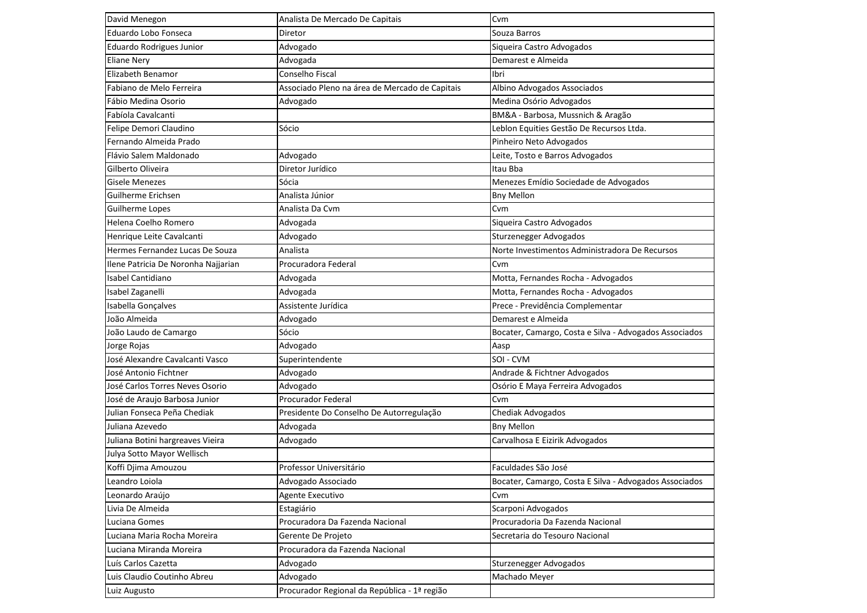| David Menegon                       | Analista De Mercado De Capitais                | Cvm                                                    |
|-------------------------------------|------------------------------------------------|--------------------------------------------------------|
| Eduardo Lobo Fonseca                | Diretor                                        | Souza Barros                                           |
| Eduardo Rodrigues Junior            | Advogado                                       | Siqueira Castro Advogados                              |
| <b>Eliane Nery</b>                  | Advogada                                       | Demarest e Almeida                                     |
| Elizabeth Benamor                   | Conselho Fiscal                                | Ibri                                                   |
| Fabiano de Melo Ferreira            | Associado Pleno na área de Mercado de Capitais | Albino Advogados Associados                            |
| Fábio Medina Osorio                 | Advogado                                       | Medina Osório Advogados                                |
| Fabíola Cavalcanti                  |                                                | BM&A - Barbosa, Mussnich & Aragão                      |
| Felipe Demori Claudino              | Sócio                                          | Leblon Equities Gestão De Recursos Ltda.               |
| Fernando Almeida Prado              |                                                | Pinheiro Neto Advogados                                |
| Flávio Salem Maldonado              | Advogado                                       | Leite, Tosto e Barros Advogados                        |
| Gilberto Oliveira                   | Diretor Jurídico                               | Itau Bba                                               |
| <b>Gisele Menezes</b>               | Sócia                                          | Menezes Emídio Sociedade de Advogados                  |
| Guilherme Erichsen                  | Analista Júnior                                | <b>Bny Mellon</b>                                      |
| <b>Guilherme Lopes</b>              | Analista Da Cvm                                | Cvm                                                    |
| Helena Coelho Romero                | Advogada                                       | Siqueira Castro Advogados                              |
| Henrique Leite Cavalcanti           | Advogado                                       | Sturzenegger Advogados                                 |
| Hermes Fernandez Lucas De Souza     | Analista                                       | Norte Investimentos Administradora De Recursos         |
| Ilene Patricia De Noronha Najjarian | Procuradora Federal                            | Cvm                                                    |
| Isabel Cantidiano                   | Advogada                                       | Motta, Fernandes Rocha - Advogados                     |
| Isabel Zaganelli                    | Advogada                                       | Motta, Fernandes Rocha - Advogados                     |
| Isabella Gonçalves                  | Assistente Jurídica                            | Prece - Previdência Complementar                       |
| João Almeida                        | Advogado                                       | Demarest e Almeida                                     |
| João Laudo de Camargo               | Sócio                                          | Bocater, Camargo, Costa e Silva - Advogados Associados |
| Jorge Rojas                         | Advogado                                       | Aasp                                                   |
| José Alexandre Cavalcanti Vasco     | Superintendente                                | SOI - CVM                                              |
| José Antonio Fichtner               | Advogado                                       | Andrade & Fichtner Advogados                           |
| José Carlos Torres Neves Osorio     | Advogado                                       | Osório E Maya Ferreira Advogados                       |
| José de Araujo Barbosa Junior       | Procurador Federal                             | Cvm                                                    |
| Julian Fonseca Peña Chediak         | Presidente Do Conselho De Autorregulação       | Chediak Advogados                                      |
| Juliana Azevedo                     | Advogada                                       | <b>Bny Mellon</b>                                      |
| Juliana Botini hargreaves Vieira    | Advogado                                       | Carvalhosa E Eizirik Advogados                         |
| Julya Sotto Mayor Wellisch          |                                                |                                                        |
| Koffi Djima Amouzou                 | Professor Universitário                        | Faculdades São José                                    |
| Leandro Loiola                      | Advogado Associado                             | Bocater, Camargo, Costa E Silva - Advogados Associados |
| Leonardo Araújo                     | Agente Executivo                               | Cvm                                                    |
| Livia De Almeida                    | Estagiário                                     | Scarponi Advogados                                     |
| Luciana Gomes                       | Procuradora Da Fazenda Nacional                | Procuradoria Da Fazenda Nacional                       |
| Luciana Maria Rocha Moreira         | Gerente De Projeto                             | Secretaria do Tesouro Nacional                         |
| Luciana Miranda Moreira             | Procuradora da Fazenda Nacional                |                                                        |
| Luís Carlos Cazetta                 | Advogado                                       | Sturzenegger Advogados                                 |
| Luis Claudio Coutinho Abreu         | Advogado                                       | Machado Meyer                                          |
| Luiz Augusto                        | Procurador Regional da República - 1ª região   |                                                        |
|                                     |                                                |                                                        |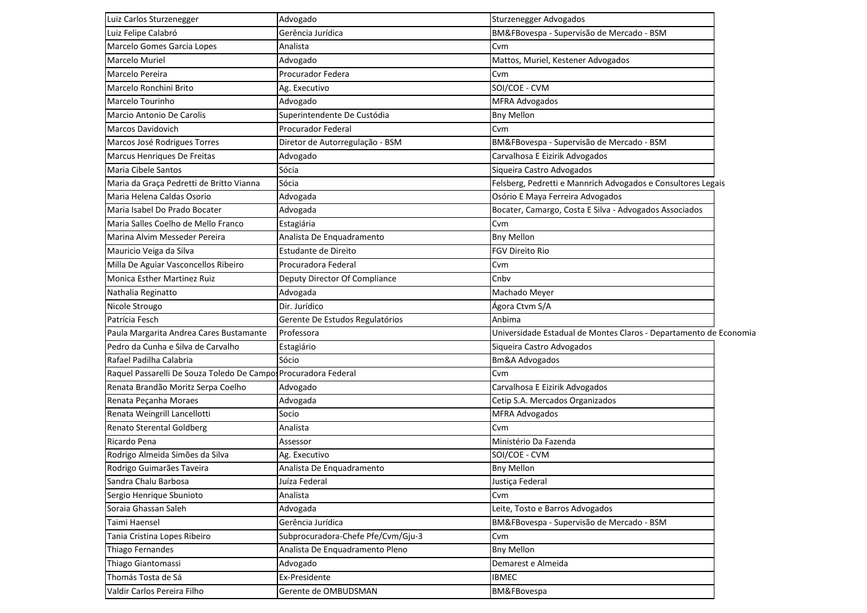| Luiz Carlos Sturzenegger                                        | Advogado                           | Sturzenegger Advogados                                            |
|-----------------------------------------------------------------|------------------------------------|-------------------------------------------------------------------|
| Luiz Felipe Calabró                                             | Gerência Jurídica                  | BM&FBovespa - Supervisão de Mercado - BSM                         |
| Marcelo Gomes Garcia Lopes                                      | Analista                           | Cvm                                                               |
| Marcelo Muriel                                                  | Advogado                           | Mattos, Muriel, Kestener Advogados                                |
| Marcelo Pereira                                                 | Procurador Federa                  | Cvm                                                               |
| Marcelo Ronchini Brito                                          | Ag. Executivo                      | SOI/COE - CVM                                                     |
| Marcelo Tourinho                                                | Advogado                           | <b>MFRA Advogados</b>                                             |
| Marcio Antonio De Carolis                                       | Superintendente De Custódia        | <b>Bny Mellon</b>                                                 |
| Marcos Davidovich                                               | <b>Procurador Federal</b>          | Cvm                                                               |
| Marcos José Rodrigues Torres                                    | Diretor de Autorregulação - BSM    | BM&FBovespa - Supervisão de Mercado - BSM                         |
| Marcus Henriques De Freitas                                     | Advogado                           | Carvalhosa E Eizirik Advogados                                    |
| Maria Cibele Santos                                             | Sócia                              | Siqueira Castro Advogados                                         |
| Maria da Graça Pedretti de Britto Vianna                        | Sócia                              | Felsberg, Pedretti e Mannrich Advogados e Consultores Legais      |
| Maria Helena Caldas Osorio                                      | Advogada                           | Osório E Maya Ferreira Advogados                                  |
| Maria Isabel Do Prado Bocater                                   | Advogada                           | Bocater, Camargo, Costa E Silva - Advogados Associados            |
| Maria Salles Coelho de Mello Franco                             | Estagiária                         | Cvm                                                               |
| Marina Alvim Messeder Pereira                                   | Analista De Enquadramento          | <b>Bny Mellon</b>                                                 |
| Mauricio Veiga da Silva                                         | Estudante de Direito               | <b>FGV Direito Rio</b>                                            |
| Milla De Aguiar Vasconcellos Ribeiro                            | Procuradora Federal                | Cvm                                                               |
| Monica Esther Martinez Ruiz                                     | Deputy Director Of Compliance      | Cnbv                                                              |
| Nathalia Reginatto                                              | Advogada                           | Machado Meyer                                                     |
| Nicole Strougo                                                  | Dir. Jurídico                      | Ágora Ctvm S/A                                                    |
| Patrícia Fesch                                                  | Gerente De Estudos Regulatórios    | Anbima                                                            |
| Paula Margarita Andrea Cares Bustamante                         | Professora                         | Universidade Estadual de Montes Claros - Departamento de Economia |
| Pedro da Cunha e Silva de Carvalho                              | Estagiário                         | Siqueira Castro Advogados                                         |
| Rafael Padilha Calabria                                         | Sócio                              | <b>Bm&amp;A Advogados</b>                                         |
| Raquel Passarelli De Souza Toledo De Campos Procuradora Federal |                                    | Cvm                                                               |
| Renata Brandão Moritz Serpa Coelho                              | Advogado                           | Carvalhosa E Eizirik Advogados                                    |
| Renata Peçanha Moraes                                           | Advogada                           | Cetip S.A. Mercados Organizados                                   |
| Renata Weingrill Lancellotti                                    | Socio                              | <b>MFRA Advogados</b>                                             |
| Renato Sterental Goldberg                                       | Analista                           | Cvm                                                               |
| Ricardo Pena                                                    | Assessor                           | Ministério Da Fazenda                                             |
| Rodrigo Almeida Simões da Silva                                 | Ag. Executivo                      | SOI/COE - CVM                                                     |
| Rodrigo Guimarães Taveira                                       | Analista De Enquadramento          | <b>Bny Mellon</b>                                                 |
| Sandra Chalu Barbosa                                            | Juíza Federal                      | Justiça Federal                                                   |
| Sergio Henrique Sbunioto                                        | Analista                           | Cvm                                                               |
| Soraia Ghassan Saleh                                            | Advogada                           | Leite, Tosto e Barros Advogados                                   |
| Taimi Haensel                                                   | Gerência Jurídica                  | BM&FBovespa - Supervisão de Mercado - BSM                         |
| Tania Cristina Lopes Ribeiro                                    | Subprocuradora-Chefe Pfe/Cvm/Gju-3 | Cvm                                                               |
| Thiago Fernandes                                                | Analista De Enquadramento Pleno    | <b>Bny Mellon</b>                                                 |
| Thiago Giantomassi                                              | Advogado                           | Demarest e Almeida                                                |
| Thomás Tosta de Sá                                              | Ex-Presidente                      | <b>IBMEC</b>                                                      |
| Valdir Carlos Pereira Filho                                     | Gerente de OMBUDSMAN               | BM&FBovespa                                                       |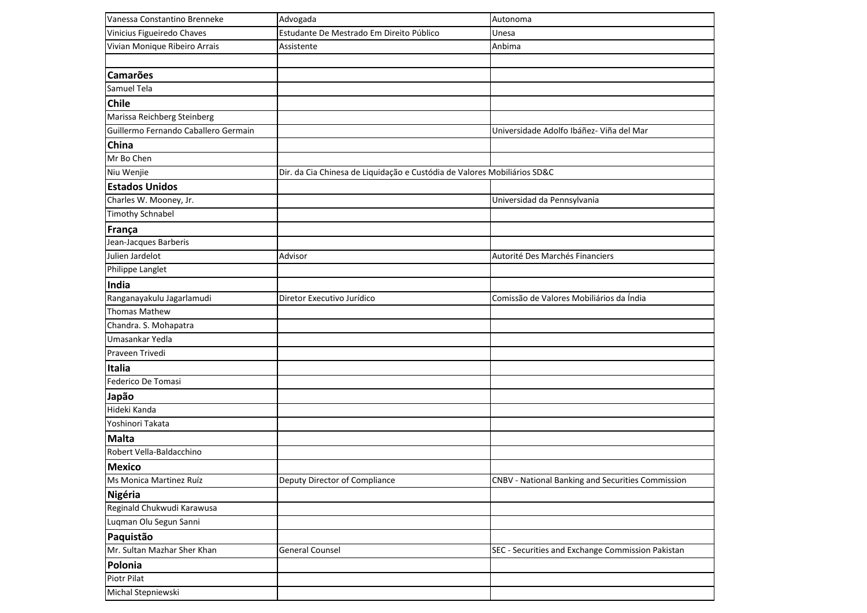| Vanessa Constantino Brenneke         | Advogada                                                                 | Autonoma                                          |
|--------------------------------------|--------------------------------------------------------------------------|---------------------------------------------------|
|                                      | Estudante De Mestrado Em Direito Público                                 |                                                   |
| Vinicius Figueiredo Chaves           |                                                                          | Unesa                                             |
| Vivian Monique Ribeiro Arrais        | Assistente                                                               | Anbima                                            |
| <b>Camarões</b>                      |                                                                          |                                                   |
| Samuel Tela                          |                                                                          |                                                   |
|                                      |                                                                          |                                                   |
| <b>Chile</b>                         |                                                                          |                                                   |
| Marissa Reichberg Steinberg          |                                                                          |                                                   |
| Guillermo Fernando Caballero Germain |                                                                          | Universidade Adolfo Ibáñez- Viña del Mar          |
| China                                |                                                                          |                                                   |
| Mr Bo Chen                           |                                                                          |                                                   |
| Niu Wenjie                           | Dir. da Cia Chinesa de Liquidação e Custódia de Valores Mobiliários SD&C |                                                   |
| <b>Estados Unidos</b>                |                                                                          |                                                   |
| Charles W. Mooney, Jr.               |                                                                          | Universidad da Pennsylvania                       |
| <b>Timothy Schnabel</b>              |                                                                          |                                                   |
| França                               |                                                                          |                                                   |
| Jean-Jacques Barberis                |                                                                          |                                                   |
| Julien Jardelot                      | Advisor                                                                  | Autorité Des Marchés Financiers                   |
| Philippe Langlet                     |                                                                          |                                                   |
| India                                |                                                                          |                                                   |
| Ranganayakulu Jagarlamudi            | Diretor Executivo Jurídico                                               | Comissão de Valores Mobiliários da Índia          |
| <b>Thomas Mathew</b>                 |                                                                          |                                                   |
| Chandra. S. Mohapatra                |                                                                          |                                                   |
| Umasankar Yedla                      |                                                                          |                                                   |
| Praveen Trivedi                      |                                                                          |                                                   |
| Italia                               |                                                                          |                                                   |
| Federico De Tomasi                   |                                                                          |                                                   |
| Japão                                |                                                                          |                                                   |
| Hideki Kanda                         |                                                                          |                                                   |
| Yoshinori Takata                     |                                                                          |                                                   |
| Malta                                |                                                                          |                                                   |
| Robert Vella-Baldacchino             |                                                                          |                                                   |
| <b>Mexico</b>                        |                                                                          |                                                   |
| Ms Monica Martinez Ruíz              | Deputy Director of Compliance                                            | CNBV - National Banking and Securities Commission |
| Nigéria                              |                                                                          |                                                   |
| Reginald Chukwudi Karawusa           |                                                                          |                                                   |
| Luqman Olu Segun Sanni               |                                                                          |                                                   |
| Paquistão                            |                                                                          |                                                   |
| Mr. Sultan Mazhar Sher Khan          | <b>General Counsel</b>                                                   | SEC - Securities and Exchange Commission Pakistan |
| Polonia                              |                                                                          |                                                   |
| Piotr Pilat                          |                                                                          |                                                   |
| Michal Stepniewski                   |                                                                          |                                                   |
|                                      |                                                                          |                                                   |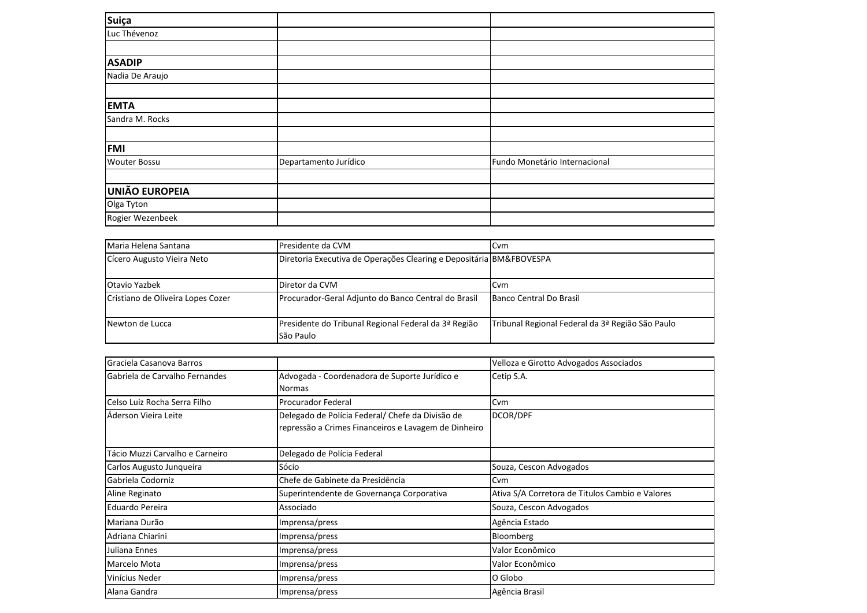| Suiça                 |                       |                               |
|-----------------------|-----------------------|-------------------------------|
| Luc Thévenoz          |                       |                               |
|                       |                       |                               |
| <b>ASADIP</b>         |                       |                               |
| Nadia De Araujo       |                       |                               |
|                       |                       |                               |
| <b>EMTA</b>           |                       |                               |
| Sandra M. Rocks       |                       |                               |
|                       |                       |                               |
| <b>FMI</b>            |                       |                               |
| <b>Wouter Bossu</b>   | Departamento Jurídico | Fundo Monetário Internacional |
|                       |                       |                               |
| <b>UNIÃO EUROPEIA</b> |                       |                               |
| Olga Tyton            |                       |                               |
| Rogier Wezenbeek      |                       |                               |

| Maria Helena Santana              | Presidente da CVM                                                        | <b>C</b> vm                                      |
|-----------------------------------|--------------------------------------------------------------------------|--------------------------------------------------|
| Cícero Augusto Vieira Neto        | Diretoria Executiva de Operações Clearing e Depositária BM&FBOVESPA      |                                                  |
| Otavio Yazbek                     | <b>I</b> Diretor da CVM                                                  | l Cvm                                            |
| Cristiano de Oliveira Lopes Cozer | Procurador-Geral Adjunto do Banco Central do Brasil                      | Banco Central Do Brasil                          |
| Newton de Lucca                   | Presidente do Tribunal Regional Federal da 3ª Região<br><b>São Paulo</b> | Tribunal Regional Federal da 3ª Região São Paulo |

| <b>I</b> Graciela Casanova Barros     |                                                                                                          | Velloza e Girotto Advogados Associados          |
|---------------------------------------|----------------------------------------------------------------------------------------------------------|-------------------------------------------------|
| <b>Gabriela de Carvalho Fernandes</b> | Advogada - Coordenadora de Suporte Jurídico e<br><b>Normas</b>                                           | Cetip S.A.                                      |
| <b>I</b> Celso Luiz Rocha Serra Filho | Procurador Federal                                                                                       | Cvm                                             |
| lAderson Vieira Leite                 | Delegado de Polícia Federal/ Chefe da Divisão de<br>repressão a Crimes Financeiros e Lavagem de Dinheiro | DCOR/DPF                                        |
| Tácio Muzzi Carvalho e Carneiro       | Delegado de Polícia Federal                                                                              |                                                 |
| Carlos Augusto Junqueira              | Sócio                                                                                                    | Souza, Cescon Advogados                         |
| Gabriela Codorniz                     | Chefe de Gabinete da Presidência                                                                         | Cvm                                             |
| Aline Reginato                        | Superintendente de Governança Corporativa                                                                | Ativa S/A Corretora de Titulos Cambio e Valores |
| Eduardo Pereira                       | Associado                                                                                                | Souza, Cescon Advogados                         |
| Mariana Durão                         | Imprensa/press                                                                                           | Agência Estado                                  |
| Adriana Chiarini                      | Imprensa/press                                                                                           | Bloomberg                                       |
| Juliana Ennes                         | Imprensa/press                                                                                           | Valor Econômico                                 |
| Marcelo Mota                          | Imprensa/press                                                                                           | Valor Econômico                                 |
| Vinícius Neder                        | Imprensa/press                                                                                           | O Globo                                         |
| Alana Gandra                          | Imprensa/press                                                                                           | Agência Brasil                                  |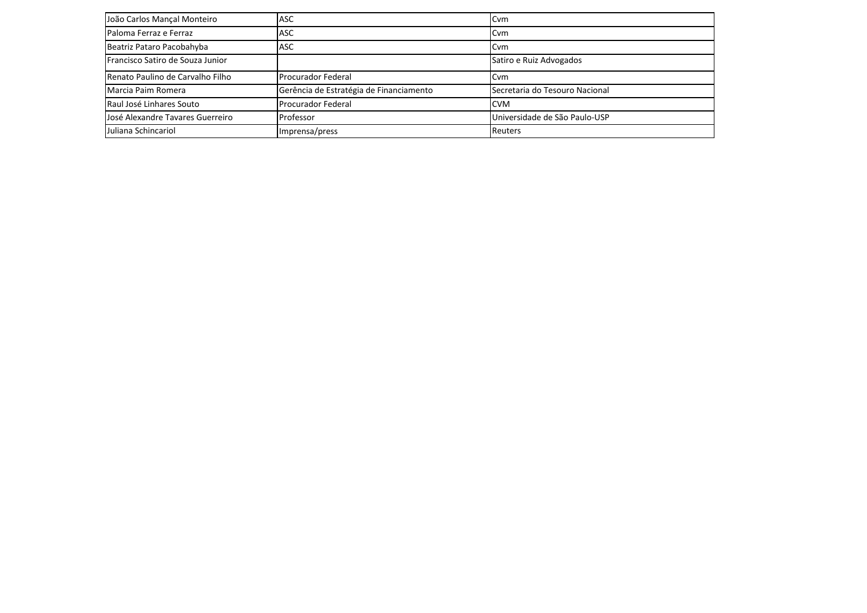| João Carlos Mançal Monteiro      | <b>IASC</b>                             | <b>Cvm</b>                     |
|----------------------------------|-----------------------------------------|--------------------------------|
| Paloma Ferraz e Ferraz           | <b>ASC</b>                              | l Cvm                          |
| Beatriz Pataro Pacobahyba        | <b>IASC</b>                             | <b>Cvm</b>                     |
| Francisco Satiro de Souza Junior |                                         | Satiro e Ruiz Advogados        |
| Renato Paulino de Carvalho Filho | <b>IProcurador Federal</b>              | l Cvm                          |
| Marcia Paim Romera               | Gerência de Estratégia de Financiamento | Secretaria do Tesouro Nacional |
| Raul José Linhares Souto         | <b>I</b> Procurador Federal             | <b>CVM</b>                     |
| José Alexandre Tavares Guerreiro | Professor                               | Universidade de São Paulo-USP  |
| Juliana Schincariol              | Imprensa/press                          | <b>Reuters</b>                 |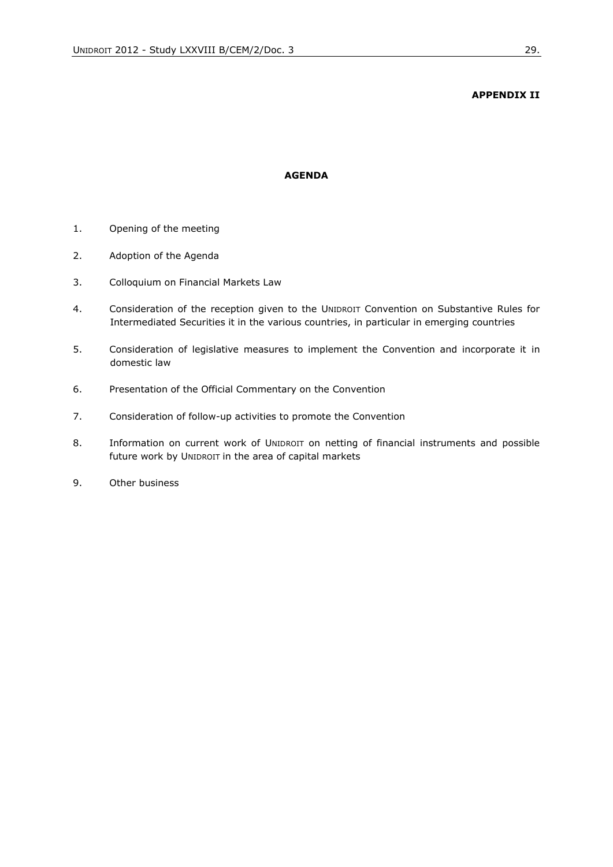#### **APPENDIX II**

### **AGENDA**

- 1. Opening of the meeting
- 2. Adoption of the Agenda
- 3. Colloquium on Financial Markets Law
- 4. Consideration of the reception given to the UNIDROIT Convention on Substantive Rules for Intermediated Securities it in the various countries, in particular in emerging countries
- 5. Consideration of legislative measures to implement the Convention and incorporate it in domestic law
- 6. Presentation of the Official Commentary on the Convention
- 7. Consideration of follow-up activities to promote the Convention
- 8. Information on current work of UNIDROIT on netting of financial instruments and possible future work by UNIDROIT in the area of capital markets
- 9. Other business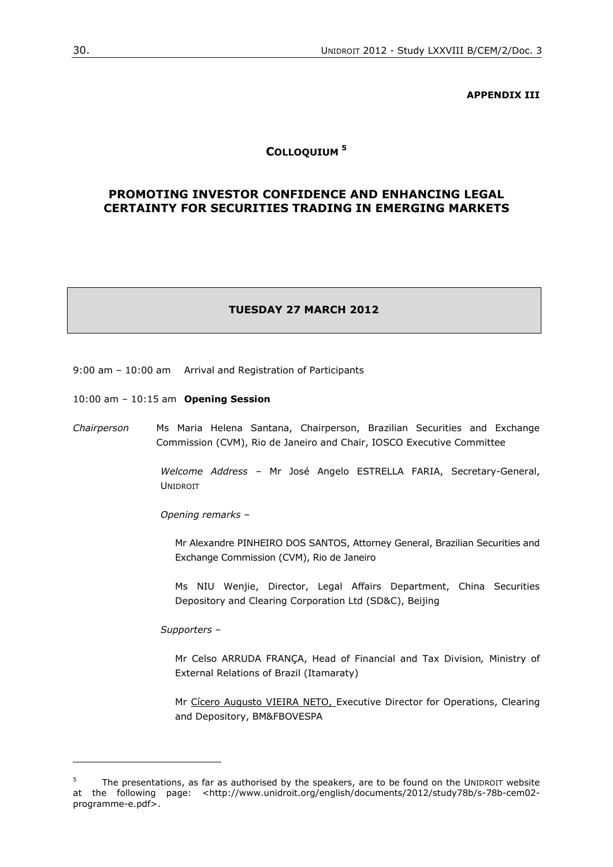#### **APPENDIX III**

# **COLLOQUIUM <sup>5</sup>**

# **PROMOTING INVESTOR CONFIDENCE AND ENHANCING LEGAL CERTAINTY FOR SECURITIES TRADING IN EMERGING MARKETS**

# **TUESDAY 27 MARCH 2012**

- 9:00 am 10:00 am Arrival and Registration of Participants
- 10:00 am 10:15 am **Opening Session**
- *Chairperson* Ms Maria Helena Santana, Chairperson, Brazilian Securities and Exchange Commission (CVM), Rio de Janeiro and Chair, IOSCO Executive Committee

*Welcome Address* – Mr José Angelo ESTRELLA FARIA, Secretary-General, UNIDROIT

*Opening remarks* –

Mr Alexandre PINHEIRO DOS SANTOS, Attorney General, Brazilian Securities and Exchange Commission (CVM), Rio de Janeiro

Ms NIU Wenjie, Director, Legal Affairs Department, China Securities Depository and Clearing Corporation Ltd (SD&C), Beijing

*Supporters* –

1

Mr Celso ARRUDA FRANÇA, Head of Financial and Tax Division*,* Ministry of External Relations of Brazil (Itamaraty)

Mr [Cícero Augusto VIEIRA NETO, E](http://www.bmfbovespa.com.br/pt-br/a-bmfbovespa/sobre-a-bolsa/administracao/diretoria-executiva/diretoria-executiva.aspx?Idioma=pt-br)xecutive Director for Operations, Clearing and Depository, BM&FBOVESPA

<sup>5</sup> The presentations, as far as authorised by the speakers, are to be found on the UNIDROIT website at the following page: <http://www.unidroit.org/english/documents/2012/study78b/s-78b-cem02 programme-e.pdf>.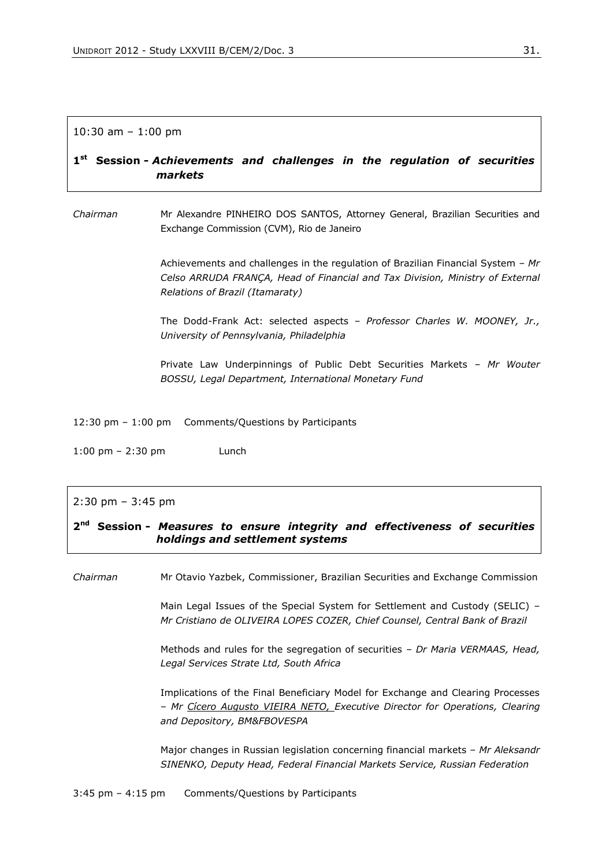#### 10:30 am – 1:00 pm

# **1 st Session -** *Achievements and challenges in the regulation of securities markets*

*Chairman* Mr Alexandre PINHEIRO DOS SANTOS, Attorney General, Brazilian Securities and Exchange Commission (CVM), Rio de Janeiro

> Achievements and challenges in the regulation of Brazilian Financial System – *Mr Celso ARRUDA FRANÇA, Head of Financial and Tax Division, Ministry of External Relations of Brazil (Itamaraty)*

> The Dodd-Frank Act: selected aspects – *Professor Charles W. MOONEY, Jr., University of Pennsylvania, Philadelphia*

> Private Law Underpinnings of Public Debt Securities Markets – *Mr Wouter BOSSU, Legal Department, International Monetary Fund*

12:30 pm – 1:00 pm Comments/Questions by Participants

1:00 pm – 2:30 pm Lunch

### 2:30 pm – 3:45 pm

# **2 nd Session -** *Measures to ensure integrity and effectiveness of securities holdings and settlement systems*

*Chairman* Mr Otavio Yazbek, Commissioner, Brazilian Securities and Exchange Commission

Main Legal Issues of the Special System for Settlement and Custody (SELIC) – *Mr Cristiano de OLIVEIRA LOPES COZER, Chief Counsel, Central Bank of Brazil*

Methods and rules for the segregation of securities – *Dr Maria VERMAAS, Head, Legal Services Strate Ltd, South Africa*

Implications of the Final Beneficiary Model for Exchange and Clearing Processes – *Mr [Cícero Augusto VIEIRA NETO, E](http://www.bmfbovespa.com.br/pt-br/a-bmfbovespa/sobre-a-bolsa/administracao/diretoria-executiva/diretoria-executiva.aspx?Idioma=pt-br)xecutive Director for Operations, Clearing and Depository, BM&FBOVESPA*

Major changes in Russian legislation concerning financial markets – *Mr Aleksandr SINENKO, Deputy Head, Federal Financial Markets Service, Russian Federation*